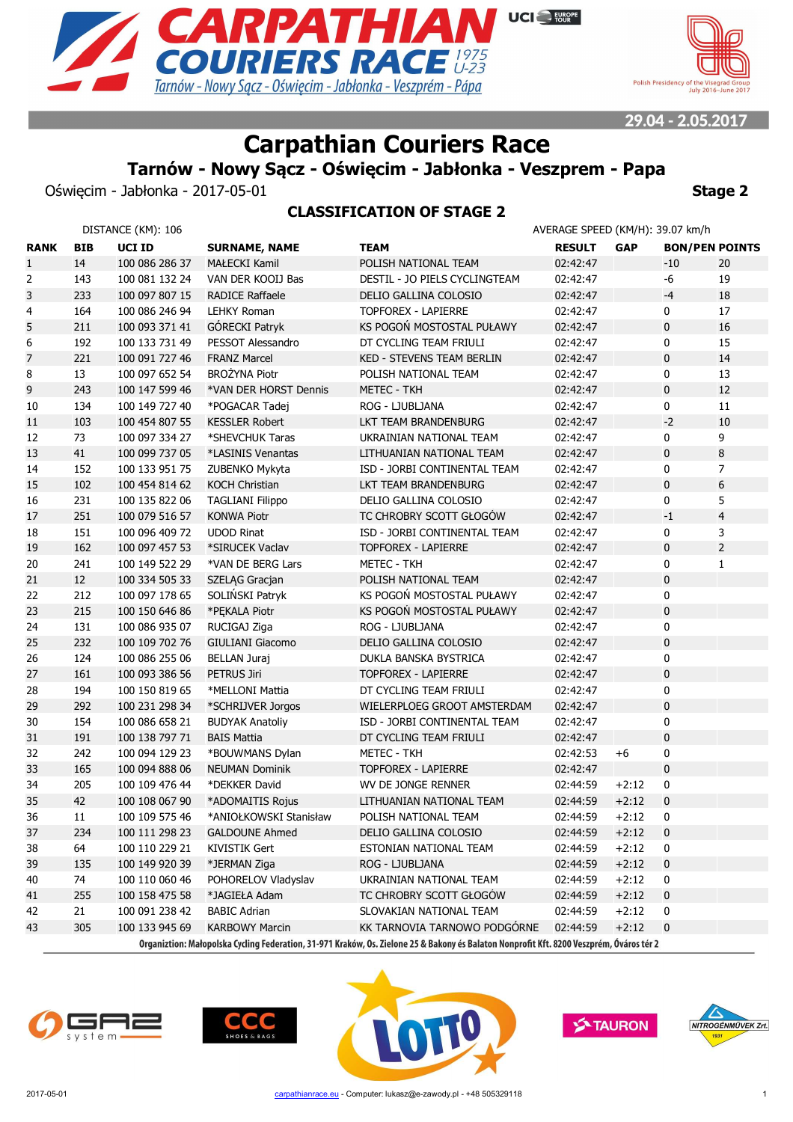



# **Carpathian Couriers Race**

# **Tarnów - Nowy Sącz - Oświęcim - Jabłonka - Veszprem - Papa**

Oświęcim - Jabłonka - 2017-05-01 **Stage 2**

### **CLASSIFICATION OF STAGE 2**

| DISTANCE (KM): 106 |            |                |                         |                                                                                                                                          | AVERAGE SPEED (KM/H): 39.07 km/h |            |                       |                |
|--------------------|------------|----------------|-------------------------|------------------------------------------------------------------------------------------------------------------------------------------|----------------------------------|------------|-----------------------|----------------|
| <b>RANK</b>        | <b>BIB</b> | UCI ID         | <b>SURNAME, NAME</b>    | <b>TEAM</b>                                                                                                                              | <b>RESULT</b>                    | <b>GAP</b> | <b>BON/PEN POINTS</b> |                |
| $\mathbf{1}$       | 14         | 100 086 286 37 | <b>MAŁECKI Kamil</b>    | POLISH NATIONAL TEAM                                                                                                                     | 02:42:47                         |            | $-10$                 | 20             |
| 2                  | 143        | 100 081 132 24 | VAN DER KOOIJ Bas       | DESTIL - JO PIELS CYCLINGTEAM                                                                                                            | 02:42:47                         |            | -6                    | 19             |
| 3                  | 233        | 100 097 807 15 | <b>RADICE Raffaele</b>  | DELIO GALLINA COLOSIO                                                                                                                    | 02:42:47                         |            | $-4$                  | 18             |
| 4                  | 164        | 100 086 246 94 | <b>LEHKY Roman</b>      | <b>TOPFOREX - LAPIERRE</b>                                                                                                               | 02:42:47                         |            | 0                     | 17             |
| 5                  | 211        | 100 093 371 41 | GÓRECKI Patryk          | KS POGOŃ MOSTOSTAL PUŁAWY                                                                                                                | 02:42:47                         |            | $\mathbf 0$           | 16             |
| 6                  | 192        | 100 133 731 49 | PESSOT Alessandro       | DT CYCLING TEAM FRIULI                                                                                                                   | 02:42:47                         |            | 0                     | 15             |
| $\overline{7}$     | 221        | 100 091 727 46 | <b>FRANZ Marcel</b>     | KED - STEVENS TEAM BERLIN                                                                                                                | 02:42:47                         |            | 0                     | 14             |
| 8                  | 13         | 100 097 652 54 | BROŻYNA Piotr           | POLISH NATIONAL TEAM                                                                                                                     | 02:42:47                         |            | 0                     | 13             |
| 9                  | 243        | 100 147 599 46 | *VAN DER HORST Dennis   | <b>METEC - TKH</b>                                                                                                                       | 02:42:47                         |            | $\bf{0}$              | 12             |
| 10                 | 134        | 100 149 727 40 | *POGACAR Tadej          | ROG - LJUBLJANA                                                                                                                          | 02:42:47                         |            | 0                     | 11             |
| 11                 | 103        | 100 454 807 55 | <b>KESSLER Robert</b>   | LKT TEAM BRANDENBURG                                                                                                                     | 02:42:47                         |            | $-2$                  | 10             |
| 12                 | 73         | 100 097 334 27 | *SHEVCHUK Taras         | UKRAINIAN NATIONAL TEAM                                                                                                                  | 02:42:47                         |            | 0                     | 9              |
| 13                 | 41         | 100 099 737 05 | *LASINIS Venantas       | LITHUANIAN NATIONAL TEAM                                                                                                                 | 02:42:47                         |            | $\mathbf 0$           | 8              |
| 14                 | 152        | 100 133 951 75 | ZUBENKO Mykyta          | ISD - JORBI CONTINENTAL TEAM                                                                                                             | 02:42:47                         |            | 0                     | 7              |
| 15                 | 102        | 100 454 814 62 | <b>KOCH Christian</b>   | LKT TEAM BRANDENBURG                                                                                                                     | 02:42:47                         |            | $\mathbf 0$           | 6              |
| 16                 | 231        | 100 135 822 06 | <b>TAGLIANI Filippo</b> | DELIO GALLINA COLOSIO                                                                                                                    | 02:42:47                         |            | 0                     | 5              |
| 17                 | 251        | 100 079 516 57 | <b>KONWA Piotr</b>      | TC CHROBRY SCOTT GŁOGÓW                                                                                                                  | 02:42:47                         |            | $-1$                  | $\overline{4}$ |
| 18                 | 151        | 100 096 409 72 | <b>UDOD Rinat</b>       | ISD - JORBI CONTINENTAL TEAM                                                                                                             | 02:42:47                         |            | 0                     | 3              |
| 19                 | 162        | 100 097 457 53 | *SIRUCEK Vaclav         | <b>TOPFOREX - LAPIERRE</b>                                                                                                               | 02:42:47                         |            | $\bf{0}$              | $\overline{2}$ |
| 20                 | 241        | 100 149 522 29 | *VAN DE BERG Lars       | METEC - TKH                                                                                                                              | 02:42:47                         |            | 0                     | $\mathbf{1}$   |
| 21                 | 12         | 100 334 505 33 | SZELĄG Gracjan          | POLISH NATIONAL TEAM                                                                                                                     | 02:42:47                         |            | 0                     |                |
| 22                 | 212        | 100 097 178 65 | SOLIŃSKI Patryk         | KS POGOŃ MOSTOSTAL PUŁAWY                                                                                                                | 02:42:47                         |            | 0                     |                |
| 23                 | 215        | 100 150 646 86 | *PEKALA Piotr           | KS POGOŃ MOSTOSTAL PUŁAWY                                                                                                                | 02:42:47                         |            | $\pmb{0}$             |                |
| 24                 | 131        | 100 086 935 07 | RUCIGAJ Ziga            | ROG - LJUBLJANA                                                                                                                          | 02:42:47                         |            | 0                     |                |
| 25                 | 232        | 100 109 702 76 | <b>GIULIANI Giacomo</b> | DELIO GALLINA COLOSIO                                                                                                                    | 02:42:47                         |            | $\pmb{0}$             |                |
| 26                 | 124        | 100 086 255 06 | <b>BELLAN Juraj</b>     | DUKLA BANSKA BYSTRICA                                                                                                                    | 02:42:47                         |            | 0                     |                |
| 27                 | 161        | 100 093 386 56 | PETRUS Jiri             | <b>TOPFOREX - LAPIERRE</b>                                                                                                               | 02:42:47                         |            | $\pmb{0}$             |                |
| 28                 | 194        | 100 150 819 65 | *MELLONI Mattia         | DT CYCLING TEAM FRIULI                                                                                                                   | 02:42:47                         |            | 0                     |                |
| 29                 | 292        | 100 231 298 34 | *SCHRIJVER Jorgos       | WIELERPLOEG GROOT AMSTERDAM                                                                                                              | 02:42:47                         |            | $\pmb{0}$             |                |
| 30                 | 154        | 100 086 658 21 | <b>BUDYAK Anatoliy</b>  | ISD - JORBI CONTINENTAL TEAM                                                                                                             | 02:42:47                         |            | 0                     |                |
| 31                 | 191        | 100 138 797 71 | <b>BAIS Mattia</b>      | DT CYCLING TEAM FRIULI                                                                                                                   | 02:42:47                         |            | $\pmb{0}$             |                |
| 32                 | 242        | 100 094 129 23 | *BOUWMANS Dylan         | <b>METEC - TKH</b>                                                                                                                       | 02:42:53                         | $+6$       | 0                     |                |
| 33                 | 165        | 100 094 888 06 | <b>NEUMAN Dominik</b>   | <b>TOPFOREX - LAPIERRE</b>                                                                                                               | 02:42:47                         |            | $\pmb{0}$             |                |
| 34                 | 205        | 100 109 476 44 | *DEKKER David           | WV DE JONGE RENNER                                                                                                                       | 02:44:59                         | $+2:12$    | 0                     |                |
| 35                 | 42         | 100 108 067 90 | *ADOMAITIS Rojus        | LITHUANIAN NATIONAL TEAM                                                                                                                 | 02:44:59                         | $+2:12$    | 0                     |                |
| 36                 | 11         | 100 109 575 46 | *ANIOŁKOWSKI Stanisław  | POLISH NATIONAL TEAM                                                                                                                     | 02:44:59                         | $+2:12$    | 0                     |                |
| 37                 | 234        | 100 111 298 23 | <b>GALDOUNE Ahmed</b>   | DELIO GALLINA COLOSIO                                                                                                                    | 02:44:59                         | $+2:12$    | 0                     |                |
| 38                 | 64         | 100 110 229 21 | <b>KIVISTIK Gert</b>    | ESTONIAN NATIONAL TEAM                                                                                                                   | 02:44:59                         | $+2:12$    | 0                     |                |
| 39                 | 135        | 100 149 920 39 | *JERMAN Ziga            | ROG - LJUBLJANA                                                                                                                          | 02:44:59                         | $+2:12$    | 0                     |                |
| 40                 | 74         | 100 110 060 46 | POHORELOV Vladyslav     | UKRAINIAN NATIONAL TEAM                                                                                                                  | 02:44:59                         | $+2:12$    | 0                     |                |
| 41                 | 255        | 100 158 475 58 | *JAGIEŁA Adam           | TC CHROBRY SCOTT GŁOGÓW                                                                                                                  | 02:44:59                         | $+2:12$    | 0                     |                |
| 42                 | 21         | 100 091 238 42 | <b>BABIC Adrian</b>     | SLOVAKIAN NATIONAL TEAM                                                                                                                  | 02:44:59                         | $+2:12$    | 0                     |                |
| 43                 | 305        | 100 133 945 69 | <b>KARBOWY Marcin</b>   | KK TARNOVIA TARNOWO PODGÓRNE                                                                                                             | 02:44:59                         | $+2:12$    | 0                     |                |
|                    |            |                |                         | Organiztion: Małopolska Cycling Federation, 31-971 Kraków, Os. Zielone 25 & Bakony és Balaton Nonprofit Kft. 8200 Veszprém, Óváros tér 2 |                                  |            |                       |                |
|                    |            |                |                         |                                                                                                                                          |                                  |            |                       |                |







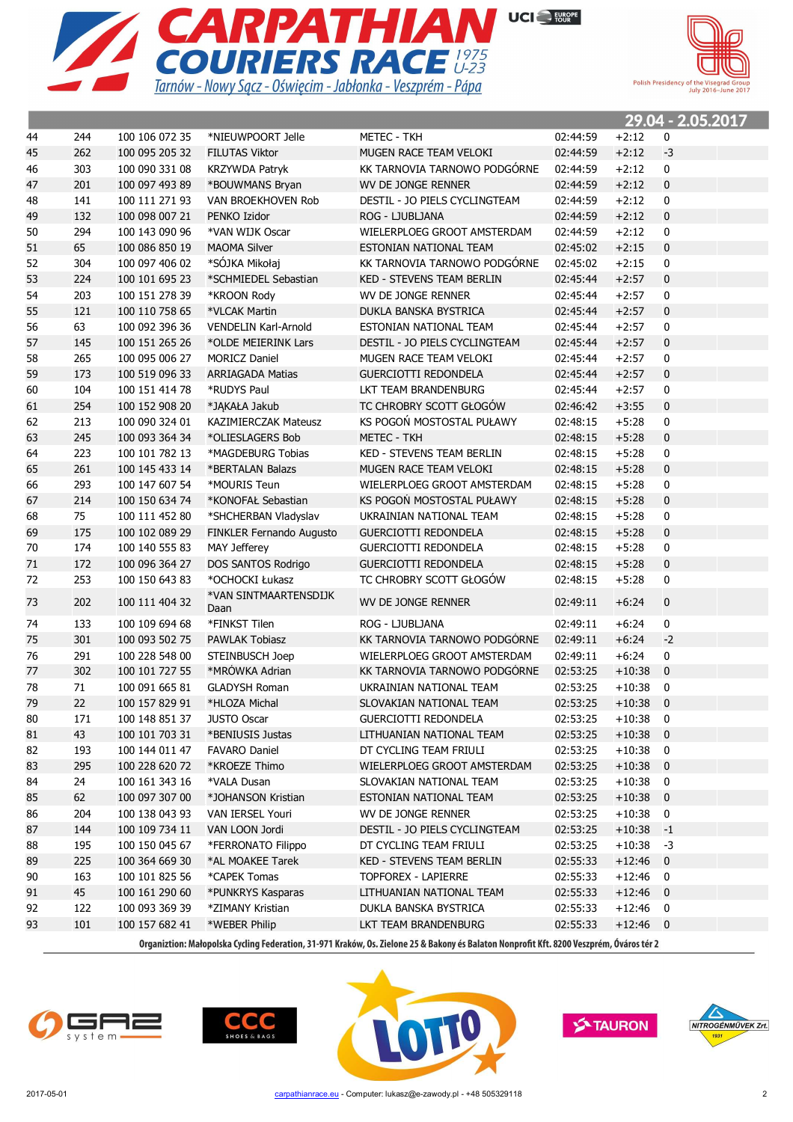



|    |     |                |                               |                                  |          |            | 29.04 - 2.05.2017        |  |
|----|-----|----------------|-------------------------------|----------------------------------|----------|------------|--------------------------|--|
| 44 | 244 | 100 106 072 35 | *NIEUWPOORT Jelle             | <b>METEC - TKH</b>               | 02:44:59 | $+2:12$    | 0                        |  |
| 45 | 262 | 100 095 205 32 | <b>FILUTAS Viktor</b>         | MUGEN RACE TEAM VELOKI           | 02:44:59 | $+2:12$    | $-3$                     |  |
| 46 | 303 | 100 090 331 08 | KRZYWDA Patryk                | KK TARNOVIA TARNOWO PODGÓRNE     | 02:44:59 | $+2:12$    | 0                        |  |
| 47 | 201 | 100 097 493 89 | *BOUWMANS Bryan               | WV DE JONGE RENNER               | 02:44:59 | $+2:12$    | $\bf{0}$                 |  |
| 48 | 141 | 100 111 271 93 | VAN BROEKHOVEN Rob            | DESTIL - JO PIELS CYCLINGTEAM    | 02:44:59 | $+2:12$    | 0                        |  |
| 49 | 132 | 100 098 007 21 | PENKO Izidor                  | ROG - LJUBLJANA                  | 02:44:59 | $+2:12$    | $\bf{0}$                 |  |
| 50 | 294 | 100 143 090 96 | *VAN WIJK Oscar               | WIELERPLOEG GROOT AMSTERDAM      | 02:44:59 | $+2:12$    | 0                        |  |
| 51 | 65  | 100 086 850 19 | <b>MAOMA Silver</b>           | ESTONIAN NATIONAL TEAM           | 02:45:02 | $+2:15$    | $\mathbf{0}$             |  |
| 52 | 304 | 100 097 406 02 | *SÓJKA Mikołaj                | KK TARNOVIA TARNOWO PODGÓRNE     | 02:45:02 | $+2:15$    | $\mathbf 0$              |  |
| 53 | 224 | 100 101 695 23 | *SCHMIEDEL Sebastian          | <b>KED - STEVENS TEAM BERLIN</b> | 02:45:44 | $+2:57$    | $\mathbf 0$              |  |
| 54 | 203 | 100 151 278 39 | *KROON Rody                   | WV DE JONGE RENNER               | 02:45:44 | $+2:57$    | 0                        |  |
| 55 | 121 | 100 110 758 65 | *VLCAK Martin                 | DUKLA BANSKA BYSTRICA            | 02:45:44 | $+2:57$    | $\mathbf{0}$             |  |
| 56 | 63  | 100 092 396 36 | <b>VENDELIN Karl-Arnold</b>   | ESTONIAN NATIONAL TEAM           | 02:45:44 | $+2:57$    | $\mathbf 0$              |  |
| 57 | 145 | 100 151 265 26 | *OLDE MEIERINK Lars           | DESTIL - JO PIELS CYCLINGTEAM    | 02:45:44 | $+2:57$    | $\mathbf 0$              |  |
| 58 | 265 | 100 095 006 27 | <b>MORICZ Daniel</b>          | MUGEN RACE TEAM VELOKI           | 02:45:44 | $+2:57$    | 0                        |  |
| 59 | 173 | 100 519 096 33 | <b>ARRIAGADA Matias</b>       | <b>GUERCIOTTI REDONDELA</b>      | 02:45:44 | $+2:57$    | $\pmb{0}$                |  |
| 60 | 104 | 100 151 414 78 | *RUDYS Paul                   | LKT TEAM BRANDENBURG             | 02:45:44 | $+2:57$    | 0                        |  |
| 61 | 254 | 100 152 908 20 | *JAKAŁA Jakub                 | TC CHROBRY SCOTT GŁOGÓW          | 02:46:42 | $+3:55$    | $\pmb{0}$                |  |
| 62 | 213 | 100 090 324 01 | KAZIMIERCZAK Mateusz          | KS POGOŃ MOSTOSTAL PUŁAWY        | 02:48:15 | $+5:28$    | $\mathbf 0$              |  |
| 63 | 245 | 100 093 364 34 | *OLIESLAGERS Bob              | METEC - TKH                      | 02:48:15 | $+5:28$    | $\pmb{0}$                |  |
| 64 | 223 | 100 101 782 13 | *MAGDEBURG Tobias             | KED - STEVENS TEAM BERLIN        | 02:48:15 | $+5:28$    | $\mathbf 0$              |  |
| 65 | 261 | 100 145 433 14 | *BERTALAN Balazs              | MUGEN RACE TEAM VELOKI           | 02:48:15 | $+5:28$    | $\bf{0}$                 |  |
| 66 | 293 | 100 147 607 54 | *MOURIS Teun                  | WIELERPLOEG GROOT AMSTERDAM      | 02:48:15 | $+5:28$    | $\mathbf 0$              |  |
| 67 | 214 | 100 150 634 74 | *KONOFAŁ Sebastian            | KS POGOŃ MOSTOSTAL PUŁAWY        | 02:48:15 | $+5:28$    | $\pmb{0}$                |  |
| 68 | 75  | 100 111 452 80 | *SHCHERBAN Vladyslav          | UKRAINIAN NATIONAL TEAM          | 02:48:15 | $+5:28$    | $\mathbf 0$              |  |
| 69 | 175 | 100 102 089 29 | FINKLER Fernando Augusto      | <b>GUERCIOTTI REDONDELA</b>      | 02:48:15 | $+5:28$    | $\pmb{0}$                |  |
| 70 | 174 | 100 140 555 83 | MAY Jefferey                  | GUERCIOTTI REDONDELA             | 02:48:15 | $+5:28$    | $\pmb{0}$                |  |
| 71 | 172 | 100 096 364 27 | DOS SANTOS Rodrigo            | <b>GUERCIOTTI REDONDELA</b>      | 02:48:15 | $+5:28$    | $\pmb{0}$                |  |
| 72 | 253 | 100 150 643 83 | *OCHOCKI Łukasz               | TC CHROBRY SCOTT GŁOGÓW          | 02:48:15 | $+5:28$    | $\mathbf 0$              |  |
| 73 | 202 | 100 111 404 32 | *VAN SINTMAARTENSDIJK<br>Daan | WV DE JONGE RENNER               | 02:49:11 | $+6:24$    | 0                        |  |
| 74 | 133 | 100 109 694 68 | *FINKST Tilen                 | ROG - LJUBLJANA                  | 02:49:11 | $+6:24$    | 0                        |  |
| 75 | 301 | 100 093 502 75 | <b>PAWLAK Tobiasz</b>         | KK TARNOVIA TARNOWO PODGÓRNE     | 02:49:11 | $+6:24$    | $-2$                     |  |
| 76 | 291 | 100 228 548 00 | STEINBUSCH Joep               | WIELERPLOEG GROOT AMSTERDAM      | 02:49:11 | $+6:24$    | 0                        |  |
| 77 | 302 | 100 101 727 55 | *MRÓWKA Adrian                | KK TARNOVIA TARNOWO PODGÓRNE     | 02:53:25 | $+10:38$   | $\mathbf{0}$             |  |
| 78 | 71  | 100 091 665 81 | <b>GLADYSH Roman</b>          | UKRAINIAN NATIONAL TEAM          | 02:53:25 | $+10:38$   | 0                        |  |
| 79 | 22  | 100 157 829 91 | *HLOZA Michal                 | SLOVAKIAN NATIONAL TEAM          | 02:53:25 | $+10:38$   | $\mathbf{0}$             |  |
| 80 | 171 | 100 148 851 37 | <b>JUSTO Oscar</b>            | <b>GUERCIOTTI REDONDELA</b>      | 02:53:25 | $+10:38$   | $\overline{\phantom{0}}$ |  |
| 81 | 43  | 100 101 703 31 | *BENIUSIS Justas              | LITHUANIAN NATIONAL TEAM         | 02:53:25 | $+10:38$   | $\overline{\mathbf{0}}$  |  |
| 82 | 193 | 100 144 011 47 | <b>FAVARO Daniel</b>          | DT CYCLING TEAM FRIULI           | 02:53:25 | $+10:38$   | 0                        |  |
| 83 | 295 | 100 228 620 72 | *KROEZE Thimo                 | WIELERPLOEG GROOT AMSTERDAM      | 02:53:25 | $+10:38$   | $\overline{0}$           |  |
| 84 | 24  | 100 161 343 16 | *VALA Dusan                   | SLOVAKIAN NATIONAL TEAM          | 02:53:25 | $+10:38$   | 0                        |  |
| 85 | 62  | 100 097 307 00 | *JOHANSON Kristian            | ESTONIAN NATIONAL TEAM           | 02:53:25 | $+10:38$   | 0                        |  |
| 86 | 204 | 100 138 043 93 | VAN IERSEL Youri              | WV DE JONGE RENNER               | 02:53:25 | $+10:38$   | 0                        |  |
| 87 | 144 | 100 109 734 11 | VAN LOON Jordi                | DESTIL - JO PIELS CYCLINGTEAM    | 02:53:25 | $+10:38$   | $-1$                     |  |
| 88 | 195 | 100 150 045 67 | *FERRONATO Filippo            | DT CYCLING TEAM FRIULI           | 02:53:25 | $+10:38$   | $-3$                     |  |
| 89 | 225 | 100 364 669 30 | *AL MOAKEE Tarek              | KED - STEVENS TEAM BERLIN        | 02:55:33 | $+12:46$   | $\mathbf 0$              |  |
| 90 | 163 | 100 101 825 56 | *CAPEK Tomas                  | TOPFOREX - LAPIERRE              | 02:55:33 | $+12:46$   | 0                        |  |
| 91 | 45  | 100 161 290 60 | *PUNKRYS Kasparas             | LITHUANIAN NATIONAL TEAM         | 02:55:33 | $+12:46$   | $\mathbf 0$              |  |
| 92 | 122 | 100 093 369 39 | *ZIMANY Kristian              | DUKLA BANSKA BYSTRICA            | 02:55:33 | $+12:46$   | 0                        |  |
| 93 | 101 | 100 157 682 41 | *WEBER Philip                 | LKT TEAM BRANDENBURG             | 02:55:33 | $+12:46$ 0 |                          |  |
|    |     |                |                               |                                  |          |            |                          |  |







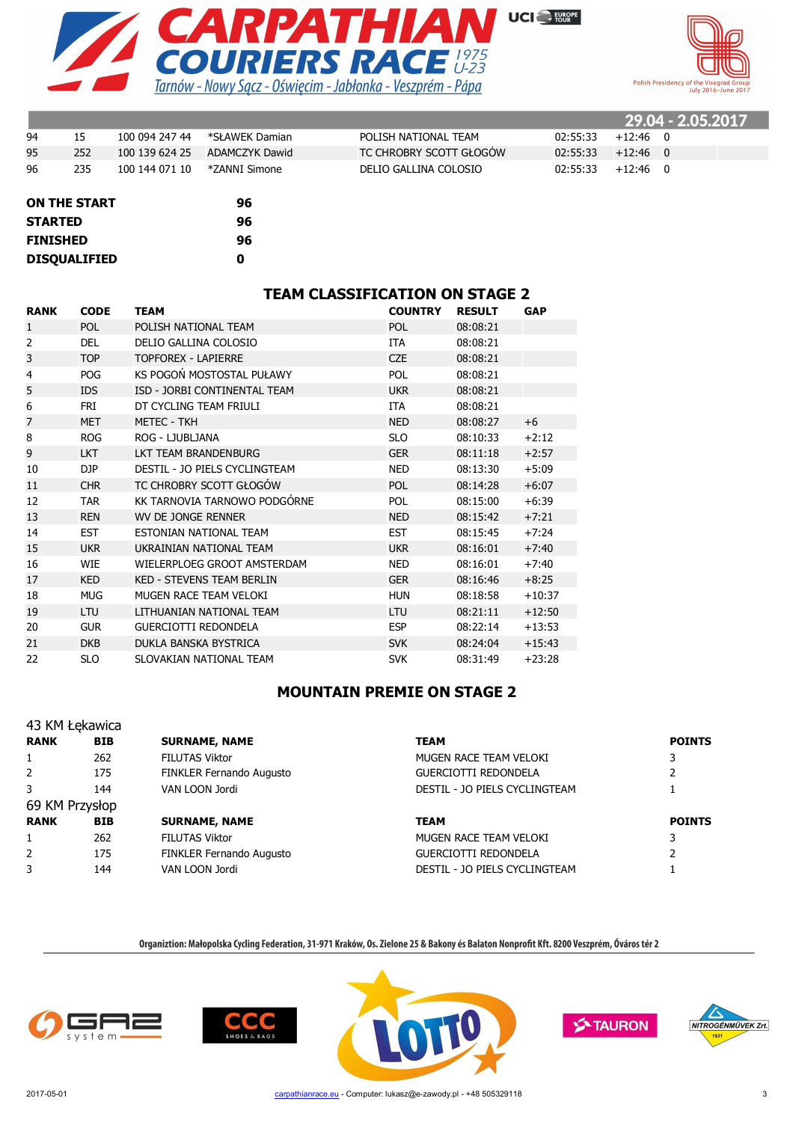



|    |     |                |                |                         |          |            | 29.04 - 2.05.2017 |
|----|-----|----------------|----------------|-------------------------|----------|------------|-------------------|
| 94 | 15  | 100 094 247 44 | *SŁAWEK Damian | POLISH NATIONAL TEAM    | 02:55:33 | $+12:46$ 0 |                   |
| 95 | 252 | 100 139 624 25 | ADAMCZYK Dawid | TC CHROBRY SCOTT GŁOGÓW | 02:55:33 | $+12:46$ 0 |                   |
| 96 | 235 | 100 144 071 10 | *ZANNI Simone  | DELIO GALLINA COLOSIO   | 02:55:33 | $+12:46$ 0 |                   |

| <b>ON THE START</b> | 96 |
|---------------------|----|
| <b>STARTED</b>      | 96 |
| <b>FINISHED</b>     | 96 |
| <b>DISQUALIFIED</b> | n  |

#### **TEAM CLASSIFICATION ON STAGE 2**

| <b>RANK</b>    | <b>CODE</b> | TEAM                             | <b>COUNTRY</b> | <b>RESULT</b> | <b>GAP</b> |
|----------------|-------------|----------------------------------|----------------|---------------|------------|
| $\mathbf{1}$   | <b>POL</b>  | POLISH NATIONAL TEAM             | <b>POL</b>     | 08:08:21      |            |
| $\overline{2}$ | <b>DEL</b>  | DELIO GALLINA COLOSIO            | <b>ITA</b>     | 08:08:21      |            |
| 3              | <b>TOP</b>  | <b>TOPFOREX - LAPIERRE</b>       | <b>CZE</b>     | 08:08:21      |            |
| $\overline{4}$ | <b>POG</b>  | KS POGOŃ MOSTOSTAL PUŁAWY        | <b>POL</b>     | 08:08:21      |            |
| 5              | <b>IDS</b>  | ISD - JORBI CONTINENTAL TEAM     | <b>UKR</b>     | 08:08:21      |            |
| 6              | FRI         | DT CYCLING TEAM FRIULI           | <b>ITA</b>     | 08:08:21      |            |
| 7              | <b>MET</b>  | <b>METEC - TKH</b>               | <b>NED</b>     | 08:08:27      | $+6$       |
| 8              | <b>ROG</b>  | ROG - LJUBLJANA                  | <b>SLO</b>     | 08:10:33      | $+2:12$    |
| 9              | <b>LKT</b>  | LKT TEAM BRANDENBURG             | <b>GER</b>     | 08:11:18      | $+2:57$    |
| 10             | DJP         | DESTIL - JO PIELS CYCLINGTEAM    | <b>NED</b>     | 08:13:30      | $+5:09$    |
| 11             | <b>CHR</b>  | TC CHROBRY SCOTT GŁOGÓW          | <b>POL</b>     | 08:14:28      | $+6:07$    |
| 12             | <b>TAR</b>  | KK TARNOVIA TARNOWO PODGÓRNE     | <b>POL</b>     | 08:15:00      | $+6:39$    |
| 13             | <b>REN</b>  | WV DE JONGE RENNER               | <b>NED</b>     | 08:15:42      | $+7:21$    |
| 14             | <b>EST</b>  | ESTONIAN NATIONAL TEAM           | <b>EST</b>     | 08:15:45      | $+7:24$    |
| 15             | <b>UKR</b>  | UKRAINIAN NATIONAL TEAM          | <b>UKR</b>     | 08:16:01      | $+7:40$    |
| 16             | <b>WIE</b>  | WIELERPLOEG GROOT AMSTERDAM      | <b>NED</b>     | 08:16:01      | $+7:40$    |
| 17             | <b>KED</b>  | <b>KED - STEVENS TEAM BERLIN</b> | <b>GER</b>     | 08:16:46      | $+8:25$    |
| 18             | <b>MUG</b>  | MUGEN RACE TEAM VELOKI           | <b>HUN</b>     | 08:18:58      | $+10:37$   |
| 19             | LTU         | LITHUANIAN NATIONAL TEAM         | LTU            | 08:21:11      | $+12:50$   |
| 20             | <b>GUR</b>  | <b>GUERCIOTTI REDONDELA</b>      | <b>ESP</b>     | 08:22:14      | $+13:53$   |
| 21             | <b>DKB</b>  | DUKLA BANSKA BYSTRICA            | <b>SVK</b>     | 08:24:04      | $+15:43$   |
| 22             | <b>SLO</b>  | SLOVAKIAN NATIONAL TEAM          | <b>SVK</b>     | 08:31:49      | $+23:28$   |

#### **MOUNTAIN PREMIE ON STAGE 2**

|                | 43 KM Łękawica |                          |                               |               |
|----------------|----------------|--------------------------|-------------------------------|---------------|
| <b>RANK</b>    | <b>BIB</b>     | <b>SURNAME, NAME</b>     | <b>TEAM</b>                   | <b>POINTS</b> |
| $\mathbf{1}$   | 262            | <b>FILUTAS Viktor</b>    | MUGEN RACE TEAM VELOKI        |               |
| $\overline{2}$ | 175            | FINKLER Fernando Augusto | <b>GUERCIOTTI REDONDELA</b>   |               |
| 3              | 144            | VAN LOON Jordi           | DESTIL - JO PIELS CYCLINGTEAM |               |
| 69 KM Przysłop |                |                          |                               |               |
| <b>RANK</b>    | <b>BIB</b>     | <b>SURNAME, NAME</b>     | <b>TEAM</b>                   | <b>POINTS</b> |
| $\mathbf{1}$   | 262            | <b>FILUTAS Viktor</b>    | MUGEN RACE TEAM VELOKI        | 3             |
| $\overline{2}$ | 175            | FINKLER Fernando Augusto | <b>GUERCIOTTI REDONDELA</b>   |               |
| 3              | 144            | VAN LOON Jordi           | DESTIL - JO PIELS CYCLINGTEAM |               |







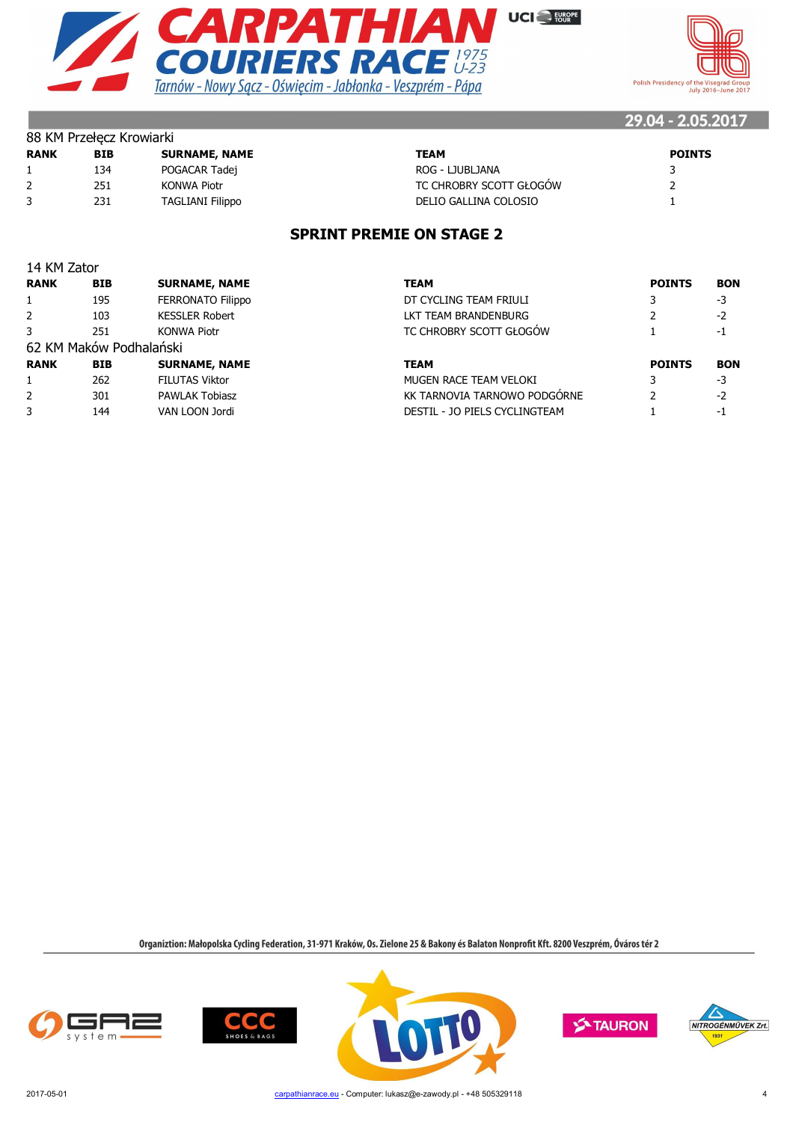



| <b>BIB</b> | <b>SURNAME, NAME</b>    | TEAM                    | <b>POINTS</b> |
|------------|-------------------------|-------------------------|---------------|
| 134        | POGACAR Tadej           | ROG - LJUBLJANA         |               |
| 251        | KONWA Piotr             | TC CHROBRY SCOTT GŁOGÓW |               |
| 231        | <b>TAGLIANI Filippo</b> | DELIO GALLINA COLOSIO   |               |
|            |                         |                         |               |

#### **SPRINT PREMIE ON STAGE 2**

| 14 KM Zator    |                         |                          |                               |               |            |
|----------------|-------------------------|--------------------------|-------------------------------|---------------|------------|
| <b>RANK</b>    | <b>BIB</b>              | <b>SURNAME, NAME</b>     | <b>TEAM</b>                   | <b>POINTS</b> | <b>BON</b> |
|                | 195                     | <b>FERRONATO Filippo</b> | DT CYCLING TEAM FRIULI        |               | $-3$       |
| 2              | 103                     | <b>KESSLER Robert</b>    | LKT TEAM BRANDENBURG          |               | $-2$       |
| 3              | 251                     | <b>KONWA Piotr</b>       | TC CHROBRY SCOTT GŁOGÓW       |               | -1         |
|                | 62 KM Maków Podhalański |                          |                               |               |            |
| <b>RANK</b>    | <b>BIB</b>              | <b>SURNAME, NAME</b>     | <b>TEAM</b>                   | <b>POINTS</b> | <b>BON</b> |
|                | 262                     | <b>FILUTAS Viktor</b>    | MUGEN RACE TEAM VELOKI        |               | $-3$       |
| $\overline{2}$ | 301                     | <b>PAWLAK Tobiasz</b>    | KK TARNOVIA TARNOWO PODGÓRNE  |               | $-2$       |
| 3              | 144                     | VAN LOON Jordi           | DESTIL - JO PIELS CYCLINGTEAM |               | -1         |
|                |                         |                          |                               |               |            |

Organiztion: Małopolska Cycling Federation, 31-971 Kraków, Os. Zielone 25 & Bakony és Balaton Nonprofit Kft. 8200 Veszprém, Óváros tér 2



 $888 \times 10^{10} \times 10^{10}$ 







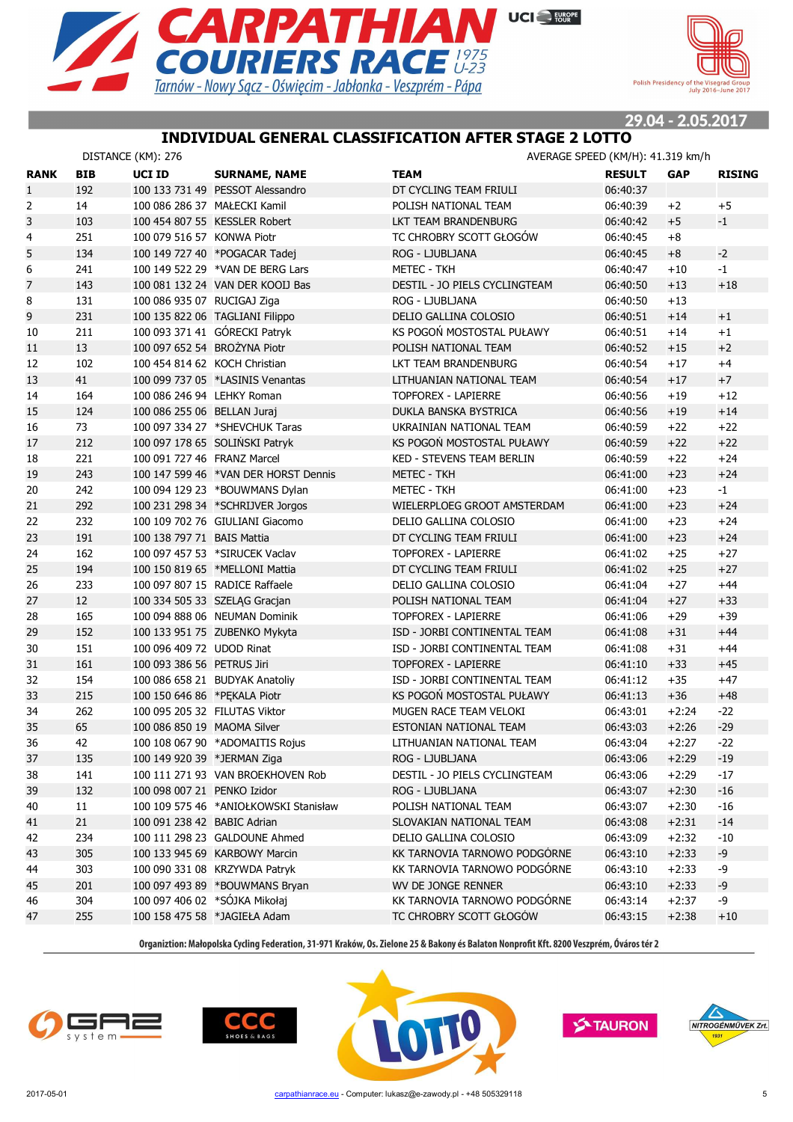



#### **INDIVIDUAL GENERAL CLASSIFICATION AFTER STAGE 2 LOTTO**

|                |            | DISTANCE (KM): 276            |                                       |                               | AVERAGE SPEED (KM/H): 41.319 km/h |            |               |
|----------------|------------|-------------------------------|---------------------------------------|-------------------------------|-----------------------------------|------------|---------------|
| <b>RANK</b>    | <b>BIB</b> | UCI ID                        | <b>SURNAME, NAME</b>                  | TEAM                          | <b>RESULT</b>                     | <b>GAP</b> | <b>RISING</b> |
| $\mathbf{1}$   | 192        |                               | 100 133 731 49 PESSOT Alessandro      | DT CYCLING TEAM FRIULI        | 06:40:37                          |            |               |
| 2              | 14         | 100 086 286 37 MAŁECKI Kamil  |                                       | POLISH NATIONAL TEAM          | 06:40:39                          | $+2$       | $+5$          |
| 3              | 103        |                               | 100 454 807 55 KESSLER Robert         | LKT TEAM BRANDENBURG          | 06:40:42                          | $+5$       | $-1$          |
| $\overline{4}$ | 251        | 100 079 516 57 KONWA Piotr    |                                       | TC CHROBRY SCOTT GŁOGÓW       | 06:40:45                          | $+8$       |               |
| 5              | 134        |                               | 100 149 727 40 *POGACAR Tadej         | ROG - LJUBLJANA               | 06:40:45                          | $+8$       | $-2$          |
| 6              | 241        |                               | 100 149 522 29 *VAN DE BERG Lars      | <b>METEC - TKH</b>            | 06:40:47                          | $+10$      | $-1$          |
| $\overline{7}$ | 143        |                               | 100 081 132 24 VAN DER KOOIJ Bas      | DESTIL - JO PIELS CYCLINGTEAM | 06:40:50                          | $+13$      | $+18$         |
| 8              | 131        | 100 086 935 07 RUCIGAJ Ziga   |                                       | ROG - LJUBLJANA               | 06:40:50                          | $+13$      |               |
| 9              | 231        |                               | 100 135 822 06 TAGLIANI Filippo       | DELIO GALLINA COLOSIO         | 06:40:51                          | $+14$      | $+1$          |
| 10             | 211        |                               | 100 093 371 41 GÓRECKI Patryk         | KS POGOŃ MOSTOSTAL PUŁAWY     | 06:40:51                          | $+14$      | $+1$          |
| 11             | 13         | 100 097 652 54 BROŻYNA Piotr  |                                       | POLISH NATIONAL TEAM          | 06:40:52                          | $+15$      | $+2$          |
| 12             | 102        | 100 454 814 62 KOCH Christian |                                       | LKT TEAM BRANDENBURG          | 06:40:54                          | $+17$      | $+4$          |
| 13             | 41         |                               | 100 099 737 05 *LASINIS Venantas      | LITHUANIAN NATIONAL TEAM      | 06:40:54                          | $+17$      | $+7$          |
| 14             | 164        | 100 086 246 94 LEHKY Roman    |                                       | <b>TOPFOREX - LAPIERRE</b>    | 06:40:56                          | $+19$      | $+12$         |
| 15             | 124        | 100 086 255 06 BELLAN Juraj   |                                       | DUKLA BANSKA BYSTRICA         | 06:40:56                          | $+19$      | $+14$         |
| 16             | 73         |                               | 100 097 334 27 *SHEVCHUK Taras        | UKRAINIAN NATIONAL TEAM       | 06:40:59                          | $+22$      | $+22$         |
| 17             | 212        |                               | 100 097 178 65 SOLIŃSKI Patryk        | KS POGOŃ MOSTOSTAL PUŁAWY     | 06:40:59                          | $+22$      | $+22$         |
| 18             | 221        | 100 091 727 46 FRANZ Marcel   |                                       | KED - STEVENS TEAM BERLIN     | 06:40:59                          | $+22$      | $+24$         |
| 19             | 243        |                               | 100 147 599 46 *VAN DER HORST Dennis  | <b>METEC - TKH</b>            | 06:41:00                          | $+23$      | $+24$         |
| 20             | 242        |                               | 100 094 129 23 *BOUWMANS Dylan        | <b>METEC - TKH</b>            | 06:41:00                          | $+23$      | $-1$          |
| 21             | 292        |                               | 100 231 298 34 *SCHRIJVER Jorgos      | WIELERPLOEG GROOT AMSTERDAM   | 06:41:00                          | $+23$      | $+24$         |
| 22             | 232        |                               | 100 109 702 76 GIULIANI Giacomo       | DELIO GALLINA COLOSIO         | 06:41:00                          | $+23$      | $+24$         |
| 23             | 191        | 100 138 797 71 BAIS Mattia    |                                       | DT CYCLING TEAM FRIULI        | 06:41:00                          | $+23$      | $+24$         |
| 24             | 162        |                               | 100 097 457 53 *SIRUCEK Vaclav        | <b>TOPFOREX - LAPIERRE</b>    | 06:41:02                          | $+25$      | $+27$         |
| 25             | 194        |                               | 100 150 819 65 *MELLONI Mattia        | DT CYCLING TEAM FRIULI        | 06:41:02                          | $+25$      | $+27$         |
| 26             | 233        |                               | 100 097 807 15 RADICE Raffaele        | DELIO GALLINA COLOSIO         | 06:41:04                          | $+27$      | $+44$         |
| 27             | 12         |                               | 100 334 505 33 SZELĄG Gracjan         | POLISH NATIONAL TEAM          | 06:41:04                          | $+27$      | $+33$         |
| 28             | 165        |                               | 100 094 888 06 NEUMAN Dominik         | <b>TOPFOREX - LAPIERRE</b>    | 06:41:06                          | $+29$      | $+39$         |
| 29             | 152        |                               | 100 133 951 75 ZUBENKO Mykyta         | ISD - JORBI CONTINENTAL TEAM  | 06:41:08                          | $+31$      | $+44$         |
| 30             | 151        | 100 096 409 72 UDOD Rinat     |                                       | ISD - JORBI CONTINENTAL TEAM  | 06:41:08                          | $+31$      | $+44$         |
| 31             | 161        | 100 093 386 56 PETRUS Jiri    |                                       | <b>TOPFOREX - LAPIERRE</b>    | 06:41:10                          | $+33$      | $+45$         |
| 32             | 154        |                               | 100 086 658 21 BUDYAK Anatoliy        | ISD - JORBI CONTINENTAL TEAM  | 06:41:12                          | $+35$      | $+47$         |
| 33             | 215        | 100 150 646 86 *PEKALA Piotr  |                                       | KS POGOŃ MOSTOSTAL PUŁAWY     | 06:41:13                          | $+36$      | $+48$         |
| 34             | 262        | 100 095 205 32 FILUTAS Viktor |                                       | MUGEN RACE TEAM VELOKI        | 06:43:01                          | $+2:24$    | $-22$         |
| 35             | 65         | 100 086 850 19 MAOMA Silver   |                                       | ESTONIAN NATIONAL TEAM        | 06:43:03                          | $+2:26$    | $-29$         |
| 36             | 42         |                               | 100 108 067 90 *ADOMAITIS Rojus       | LITHUANIAN NATIONAL TEAM      | 06:43:04                          | $+2:27$    | $-22$         |
| 37             | 135        | 100 149 920 39 *JERMAN Ziga   |                                       | ROG - LJUBLJANA               | 06:43:06                          | $+2:29$    | $-19$         |
| 38             | 141        |                               | 100 111 271 93 VAN BROEKHOVEN Rob     | DESTIL - JO PIELS CYCLINGTEAM | 06:43:06                          | $+2:29$    | $-17$         |
| 39             | 132        | 100 098 007 21 PENKO Izidor   |                                       | ROG - LJUBLJANA               | 06:43:07                          | $+2:30$    | $-16$         |
| 40             | 11         |                               | 100 109 575 46 *ANIOŁKOWSKI Stanisław | POLISH NATIONAL TEAM          | 06:43:07                          | $+2:30$    | $-16$         |
| 41             | 21         | 100 091 238 42 BABIC Adrian   |                                       | SLOVAKIAN NATIONAL TEAM       | 06:43:08                          | $+2:31$    | $-14$         |
| 42             | 234        |                               | 100 111 298 23 GALDOUNE Ahmed         | DELIO GALLINA COLOSIO         | 06:43:09                          | $+2:32$    | $-10$         |
| 43             | 305        |                               | 100 133 945 69 KARBOWY Marcin         | KK TARNOVIA TARNOWO PODGÓRNE  | 06:43:10                          | $+2:33$    | $-9$          |
| 44             | 303        |                               | 100 090 331 08 KRZYWDA Patryk         | KK TARNOVIA TARNOWO PODGÓRNE  | 06:43:10                          | $+2:33$    | -9            |
| 45             | 201        |                               | 100 097 493 89 *BOUWMANS Bryan        | WV DE JONGE RENNER            | 06:43:10                          | $+2:33$    | $-9$          |
| 46             | 304        |                               | 100 097 406 02 *SÓJKA Mikołaj         | KK TARNOVIA TARNOWO PODGÓRNE  | 06:43:14                          | $+2:37$    | -9            |
| 47             | 255        |                               | 100 158 475 58 *JAGIEŁA Adam          | TC CHROBRY SCOTT GŁOGÓW       | 06:43:15                          | $+2:38$    | $+10$         |
|                |            |                               |                                       |                               |                                   |            |               |







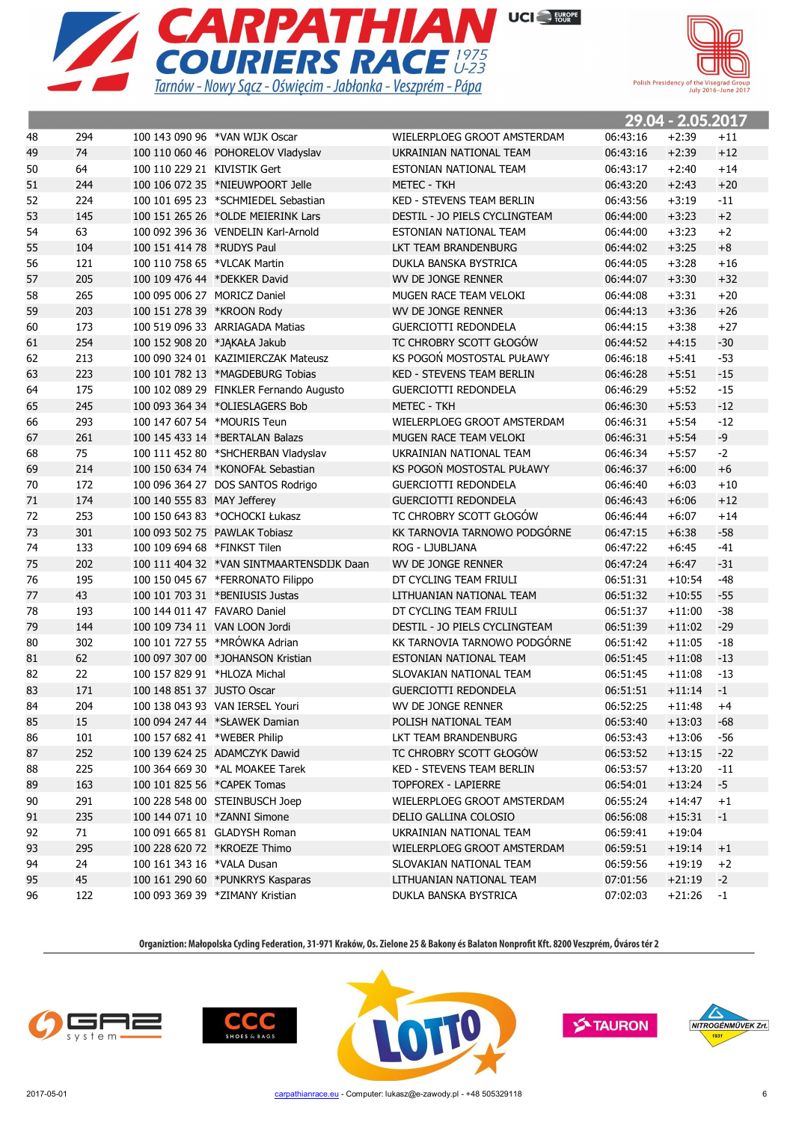



|    |     |                              |                                           |                                  |          | 29.04 - 2.05.2017 |       |
|----|-----|------------------------------|-------------------------------------------|----------------------------------|----------|-------------------|-------|
| 48 | 294 |                              | 100 143 090 96 *VAN WIJK Oscar            | WIELERPLOEG GROOT AMSTERDAM      | 06:43:16 | $+2:39$           | $+11$ |
| 49 | 74  |                              | 100 110 060 46 POHORELOV Vladyslav        | UKRAINIAN NATIONAL TEAM          | 06:43:16 | $+2:39$           | $+12$ |
| 50 | 64  | 100 110 229 21 KIVISTIK Gert |                                           | ESTONIAN NATIONAL TEAM           | 06:43:17 | $+2:40$           | $+14$ |
| 51 | 244 |                              | 100 106 072 35 *NIEUWPOORT Jelle          | METEC - TKH                      | 06:43:20 | $+2:43$           | $+20$ |
| 52 | 224 |                              | 100 101 695 23 *SCHMIEDEL Sebastian       | <b>KED - STEVENS TEAM BERLIN</b> | 06:43:56 | $+3:19$           | $-11$ |
| 53 | 145 |                              | 100 151 265 26 *OLDE MEIERINK Lars        | DESTIL - JO PIELS CYCLINGTEAM    | 06:44:00 | $+3:23$           | $+2$  |
| 54 | 63  |                              | 100 092 396 36 VENDELIN Karl-Arnold       | ESTONIAN NATIONAL TEAM           | 06:44:00 | $+3:23$           | $+2$  |
| 55 | 104 | 100 151 414 78 *RUDYS Paul   |                                           | LKT TEAM BRANDENBURG             | 06:44:02 | $+3:25$           | $+8$  |
| 56 | 121 | 100 110 758 65 *VLCAK Martin |                                           | DUKLA BANSKA BYSTRICA            | 06:44:05 | $+3:28$           | $+16$ |
| 57 | 205 |                              | 100 109 476 44 *DEKKER David              | WV DE JONGE RENNER               | 06:44:07 | $+3:30$           | $+32$ |
| 58 | 265 |                              | 100 095 006 27 MORICZ Daniel              | MUGEN RACE TEAM VELOKI           | 06:44:08 | $+3:31$           | $+20$ |
| 59 | 203 | 100 151 278 39 *KROON Rody   |                                           | WV DE JONGE RENNER               | 06:44:13 | $+3:36$           | $+26$ |
| 60 | 173 |                              | 100 519 096 33 ARRIAGADA Matias           | <b>GUERCIOTTI REDONDELA</b>      | 06:44:15 | $+3:38$           | $+27$ |
| 61 | 254 |                              | 100 152 908 20 *JAKAŁA Jakub              | TC CHROBRY SCOTT GŁOGÓW          | 06:44:52 | $+4:15$           | $-30$ |
| 62 | 213 |                              | 100 090 324 01 KAZIMIERCZAK Mateusz       | KS POGOŃ MOSTOSTAL PUŁAWY        | 06:46:18 | $+5:41$           | $-53$ |
| 63 | 223 |                              | 100 101 782 13 *MAGDEBURG Tobias          | <b>KED - STEVENS TEAM BERLIN</b> | 06:46:28 | $+5:51$           | $-15$ |
| 64 | 175 |                              | 100 102 089 29 FINKLER Fernando Augusto   | <b>GUERCIOTTI REDONDELA</b>      | 06:46:29 | $+5:52$           | $-15$ |
| 65 | 245 |                              | 100 093 364 34 *OLIESLAGERS Bob           | <b>METEC - TKH</b>               | 06:46:30 | $+5:53$           | $-12$ |
| 66 | 293 |                              | 100 147 607 54 *MOURIS Teun               | WIELERPLOEG GROOT AMSTERDAM      | 06:46:31 | $+5:54$           | $-12$ |
| 67 | 261 |                              | 100 145 433 14 *BERTALAN Balazs           | MUGEN RACE TEAM VELOKI           | 06:46:31 | $+5:54$           | -9    |
| 68 | 75  |                              | 100 111 452 80 *SHCHERBAN Vladyslav       | UKRAINIAN NATIONAL TEAM          | 06:46:34 | $+5:57$           | $-2$  |
| 69 | 214 |                              | 100 150 634 74 *KONOFAŁ Sebastian         | KS POGOŃ MOSTOSTAL PUŁAWY        | 06:46:37 | $+6:00$           | $+6$  |
| 70 | 172 |                              | 100 096 364 27 DOS SANTOS Rodrigo         | <b>GUERCIOTTI REDONDELA</b>      | 06:46:40 | $+6:03$           | $+10$ |
| 71 | 174 | 100 140 555 83 MAY Jefferey  |                                           | <b>GUERCIOTTI REDONDELA</b>      | 06:46:43 | $+6:06$           | $+12$ |
| 72 | 253 |                              | 100 150 643 83 *OCHOCKI Łukasz            | TC CHROBRY SCOTT GŁOGÓW          | 06:46:44 | $+6:07$           | $+14$ |
| 73 | 301 |                              | 100 093 502 75 PAWLAK Tobiasz             | KK TARNOVIA TARNOWO PODGÓRNE     | 06:47:15 | $+6:38$           | $-58$ |
| 74 | 133 | 100 109 694 68 *FINKST Tilen |                                           | ROG - LJUBLJANA                  | 06:47:22 | $+6:45$           | $-41$ |
| 75 | 202 |                              | 100 111 404 32 *VAN SINTMAARTENSDIJK Daan | WV DE JONGE RENNER               | 06:47:24 | $+6:47$           | $-31$ |
| 76 | 195 |                              | 100 150 045 67 *FERRONATO Filippo         | DT CYCLING TEAM FRIULI           | 06:51:31 | $+10:54$          | $-48$ |
| 77 | 43  |                              | 100 101 703 31 *BENIUSIS Justas           | LITHUANIAN NATIONAL TEAM         | 06:51:32 | $+10:55$          | $-55$ |
| 78 | 193 |                              | 100 144 011 47 FAVARO Daniel              | DT CYCLING TEAM FRIULI           | 06:51:37 | $+11:00$          | $-38$ |
| 79 | 144 |                              | 100 109 734 11 VAN LOON Jordi             | DESTIL - JO PIELS CYCLINGTEAM    | 06:51:39 | $+11:02$          | $-29$ |
| 80 | 302 |                              | 100 101 727 55 *MRÓWKA Adrian             | KK TARNOVIA TARNOWO PODGÓRNE     | 06:51:42 | $+11:05$          | $-18$ |
| 81 | 62  |                              | 100 097 307 00 *JOHANSON Kristian         | ESTONIAN NATIONAL TEAM           | 06:51:45 | $+11:08$          | $-13$ |
| 82 | 22  |                              | 100 157 829 91 *HLOZA Michal              | SLOVAKIAN NATIONAL TEAM          | 06:51:45 | $+11:08$          | $-13$ |
| 83 | 171 | 100 148 851 37 JUSTO Oscar   |                                           | <b>GUERCIOTTI REDONDELA</b>      | 06:51:51 | $+11:14$          | $-1$  |
| 84 | 204 |                              | 100 138 043 93 VAN IERSEL Youri           | WV DE JONGE RENNER               | 06:52:25 | $+11:48$          | $+4$  |
| 85 | 15  |                              | 100 094 247 44 *SŁAWEK Damian             | POLISH NATIONAL TEAM             | 06:53:40 | $+13:03$          | -68   |
| 86 | 101 | 100 157 682 41 *WEBER Philip |                                           | LKT TEAM BRANDENBURG             | 06:53:43 | $+13:06$          | -56   |
| 87 | 252 |                              | 100 139 624 25 ADAMCZYK Dawid             | TC CHROBRY SCOTT GŁOGÓW          | 06:53:52 | $+13:15$          | $-22$ |
| 88 | 225 |                              | 100 364 669 30 *AL MOAKEE Tarek           | KED - STEVENS TEAM BERLIN        | 06:53:57 | $+13:20$          | $-11$ |
| 89 | 163 |                              | 100 101 825 56 *CAPEK Tomas               | <b>TOPFOREX - LAPIERRE</b>       | 06:54:01 | $+13:24$          | $-5$  |
| 90 | 291 |                              | 100 228 548 00 STEINBUSCH Joep            | WIELERPLOEG GROOT AMSTERDAM      | 06:55:24 | $+14:47$          | $+1$  |
| 91 | 235 |                              | 100 144 071 10 *ZANNI Simone              | DELIO GALLINA COLOSIO            | 06:56:08 | $+15:31$          | $-1$  |
| 92 | 71  |                              | 100 091 665 81 GLADYSH Roman              | UKRAINIAN NATIONAL TEAM          | 06:59:41 | $+19:04$          |       |
| 93 | 295 |                              | 100 228 620 72 *KROEZE Thimo              | WIELERPLOEG GROOT AMSTERDAM      | 06:59:51 | $+19:14$          | $+1$  |
| 94 | 24  | 100 161 343 16 *VALA Dusan   |                                           | SLOVAKIAN NATIONAL TEAM          | 06:59:56 | $+19:19$          | $+2$  |
| 95 | 45  |                              | 100 161 290 60 *PUNKRYS Kasparas          | LITHUANIAN NATIONAL TEAM         | 07:01:56 | $+21:19$          | $-2$  |
| 96 | 122 |                              | 100 093 369 39 *ZIMANY Kristian           | DUKLA BANSKA BYSTRICA            | 07:02:03 | $+21:26$          | $-1$  |

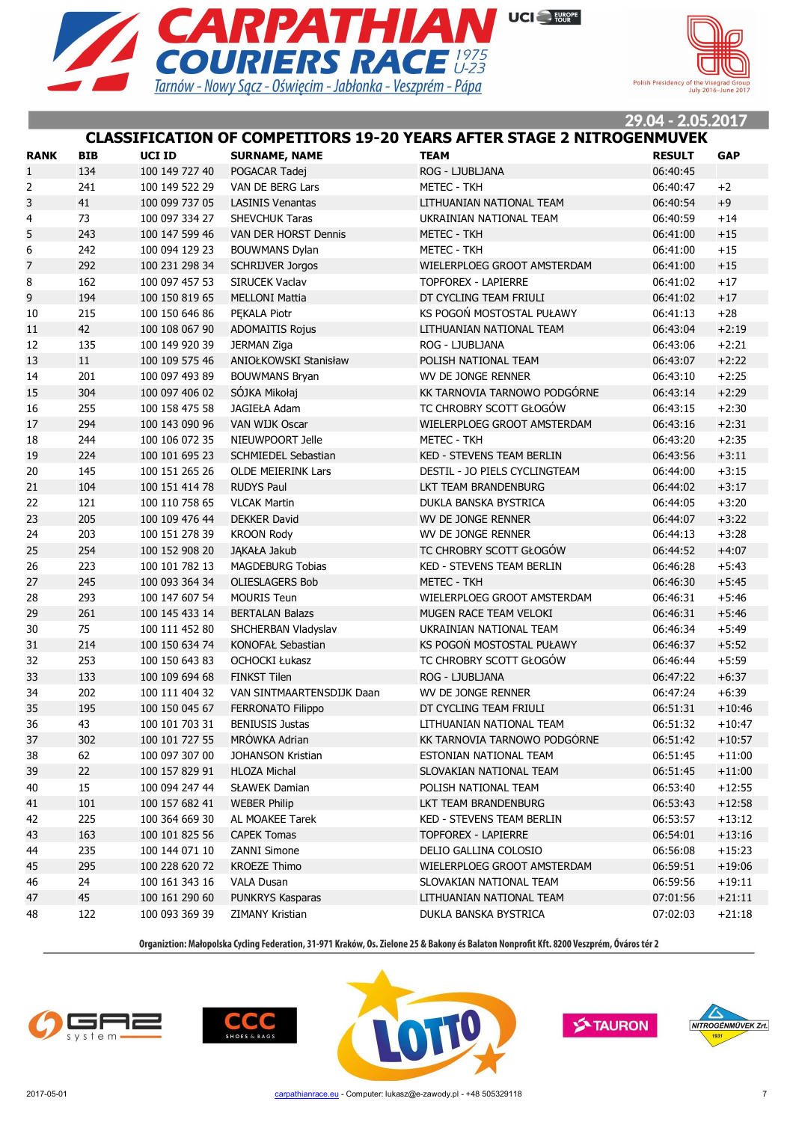



#### **CLASSIFICATION OF COMPETITORS 19-20 YEARS AFTER STAGE 2 NITROGENMUVEK**

| <b>RANK</b>    | <b>BIB</b> | UCI ID         | <b>SURNAME, NAME</b>       | <b>TEAM</b>                      | <b>RESULT</b> | <b>GAP</b> |
|----------------|------------|----------------|----------------------------|----------------------------------|---------------|------------|
| $\mathbf{1}$   | 134        | 100 149 727 40 | POGACAR Tadej              | ROG - LJUBLJANA                  | 06:40:45      |            |
| 2              | 241        | 100 149 522 29 | VAN DE BERG Lars           | <b>METEC - TKH</b>               | 06:40:47      | $+2$       |
| 3              | 41         | 100 099 737 05 | <b>LASINIS Venantas</b>    | LITHUANIAN NATIONAL TEAM         | 06:40:54      | $+9$       |
| 4              | 73         | 100 097 334 27 | <b>SHEVCHUK Taras</b>      | UKRAINIAN NATIONAL TEAM          | 06:40:59      | $+14$      |
| 5              | 243        | 100 147 599 46 | VAN DER HORST Dennis       | <b>METEC - TKH</b>               | 06:41:00      | $+15$      |
| 6              | 242        | 100 094 129 23 | <b>BOUWMANS Dylan</b>      | <b>METEC - TKH</b>               | 06:41:00      | $+15$      |
| $\overline{7}$ | 292        | 100 231 298 34 | <b>SCHRIJVER Jorgos</b>    | WIELERPLOEG GROOT AMSTERDAM      | 06:41:00      | $+15$      |
| 8              | 162        | 100 097 457 53 | SIRUCEK Vaclav             | <b>TOPFOREX - LAPIERRE</b>       | 06:41:02      | $+17$      |
| 9              | 194        | 100 150 819 65 | <b>MELLONI Mattia</b>      | DT CYCLING TEAM FRIULI           | 06:41:02      | $+17$      |
| 10             | 215        | 100 150 646 86 | PEKALA Piotr               | KS POGOŃ MOSTOSTAL PUŁAWY        | 06:41:13      | $+28$      |
| 11             | 42         | 100 108 067 90 | <b>ADOMAITIS Rojus</b>     | LITHUANIAN NATIONAL TEAM         | 06:43:04      | $+2:19$    |
| 12             | 135        | 100 149 920 39 | JERMAN Ziga                | ROG - LJUBLJANA                  | 06:43:06      | $+2:21$    |
| 13             | 11         | 100 109 575 46 | ANIOŁKOWSKI Stanisław      | POLISH NATIONAL TEAM             | 06:43:07      | $+2:22$    |
| 14             | 201        | 100 097 493 89 | <b>BOUWMANS Bryan</b>      | WV DE JONGE RENNER               | 06:43:10      | $+2:25$    |
| 15             | 304        | 100 097 406 02 | SÓJKA Mikołaj              | KK TARNOVIA TARNOWO PODGÓRNE     | 06:43:14      | $+2:29$    |
| 16             | 255        | 100 158 475 58 | JAGIEŁA Adam               | TC CHROBRY SCOTT GŁOGÓW          | 06:43:15      | $+2:30$    |
| 17             | 294        | 100 143 090 96 | VAN WIJK Oscar             | WIELERPLOEG GROOT AMSTERDAM      | 06:43:16      | $+2:31$    |
| 18             | 244        | 100 106 072 35 | NIEUWPOORT Jelle           | METEC - TKH                      | 06:43:20      | $+2:35$    |
| 19             | 224        | 100 101 695 23 | <b>SCHMIEDEL Sebastian</b> | <b>KED - STEVENS TEAM BERLIN</b> | 06:43:56      | $+3:11$    |
| 20             | 145        | 100 151 265 26 | <b>OLDE MEIERINK Lars</b>  | DESTIL - JO PIELS CYCLINGTEAM    | 06:44:00      | $+3:15$    |
| 21             | 104        | 100 151 414 78 | <b>RUDYS Paul</b>          | LKT TEAM BRANDENBURG             | 06:44:02      | $+3:17$    |
| 22             | 121        | 100 110 758 65 | <b>VLCAK Martin</b>        | DUKLA BANSKA BYSTRICA            | 06:44:05      | $+3:20$    |
| 23             | 205        | 100 109 476 44 | <b>DEKKER David</b>        | WV DE JONGE RENNER               | 06:44:07      | $+3:22$    |
| 24             | 203        | 100 151 278 39 | <b>KROON Rody</b>          | WV DE JONGE RENNER               | 06:44:13      | $+3:28$    |
| 25             | 254        | 100 152 908 20 | JĄKAŁA Jakub               | TC CHROBRY SCOTT GŁOGÓW          | 06:44:52      | $+4:07$    |
| 26             | 223        | 100 101 782 13 | <b>MAGDEBURG Tobias</b>    | KED - STEVENS TEAM BERLIN        | 06:46:28      | $+5:43$    |
| 27             | 245        | 100 093 364 34 | <b>OLIESLAGERS Bob</b>     | METEC - TKH                      | 06:46:30      | $+5:45$    |
| 28             | 293        | 100 147 607 54 | <b>MOURIS Teun</b>         | WIELERPLOEG GROOT AMSTERDAM      | 06:46:31      | $+5:46$    |
| 29             | 261        | 100 145 433 14 | <b>BERTALAN Balazs</b>     | MUGEN RACE TEAM VELOKI           | 06:46:31      | $+5:46$    |
| 30             | 75         | 100 111 452 80 | SHCHERBAN Vladyslav        | UKRAINIAN NATIONAL TEAM          | 06:46:34      | $+5:49$    |
| 31             | 214        | 100 150 634 74 | <b>KONOFAŁ Sebastian</b>   | KS POGOŃ MOSTOSTAL PUŁAWY        | 06:46:37      | $+5:52$    |
| 32             | 253        | 100 150 643 83 | <b>OCHOCKI Łukasz</b>      | TC CHROBRY SCOTT GŁOGÓW          | 06:46:44      | $+5:59$    |
| 33             | 133        | 100 109 694 68 | <b>FINKST Tilen</b>        | ROG - LJUBLJANA                  | 06:47:22      | $+6:37$    |
| 34             | 202        | 100 111 404 32 | VAN SINTMAARTENSDIJK Daan  | WV DE JONGE RENNER               | 06:47:24      | $+6:39$    |
| 35             | 195        | 100 150 045 67 | <b>FERRONATO Filippo</b>   | DT CYCLING TEAM FRIULI           | 06:51:31      | $+10:46$   |
| 36             | 43         | 100 101 703 31 | <b>BENIUSIS Justas</b>     | LITHUANIAN NATIONAL TEAM         | 06:51:32      | $+10:47$   |
| 37             | 302        | 100 101 727 55 | MRÓWKA Adrian              | KK TARNOVIA TARNOWO PODGÓRNE     | 06:51:42      | $+10:57$   |
| 38             | 62         | 100 097 307 00 | JOHANSON Kristian          | ESTONIAN NATIONAL TEAM           | 06:51:45      | $+11:00$   |
| 39             | 22         | 100 157 829 91 | <b>HLOZA Michal</b>        | SLOVAKIAN NATIONAL TEAM          | 06:51:45      | $+11:00$   |
| 40             | 15         | 100 094 247 44 | <b>SŁAWEK Damian</b>       | POLISH NATIONAL TEAM             | 06:53:40      | $+12:55$   |
| 41             | 101        | 100 157 682 41 | <b>WEBER Philip</b>        | LKT TEAM BRANDENBURG             | 06:53:43      | $+12:58$   |
| 42             | 225        | 100 364 669 30 | AL MOAKEE Tarek            | KED - STEVENS TEAM BERLIN        | 06:53:57      | $+13:12$   |
| 43             | 163        | 100 101 825 56 | <b>CAPEK Tomas</b>         | TOPFOREX - LAPIERRE              | 06:54:01      | $+13:16$   |
| 44             | 235        | 100 144 071 10 | ZANNI Simone               | DELIO GALLINA COLOSIO            | 06:56:08      | $+15:23$   |
| 45             | 295        | 100 228 620 72 | <b>KROEZE Thimo</b>        | WIELERPLOEG GROOT AMSTERDAM      | 06:59:51      | $+19:06$   |
| 46             | 24         | 100 161 343 16 | <b>VALA Dusan</b>          | SLOVAKIAN NATIONAL TEAM          | 06:59:56      | $+19:11$   |
| 47             | 45         | 100 161 290 60 | PUNKRYS Kasparas           | LITHUANIAN NATIONAL TEAM         | 07:01:56      | $+21:11$   |
| 48             | 122        | 100 093 369 39 | ZIMANY Kristian            | DUKLA BANSKA BYSTRICA            | 07:02:03      | $+21:18$   |







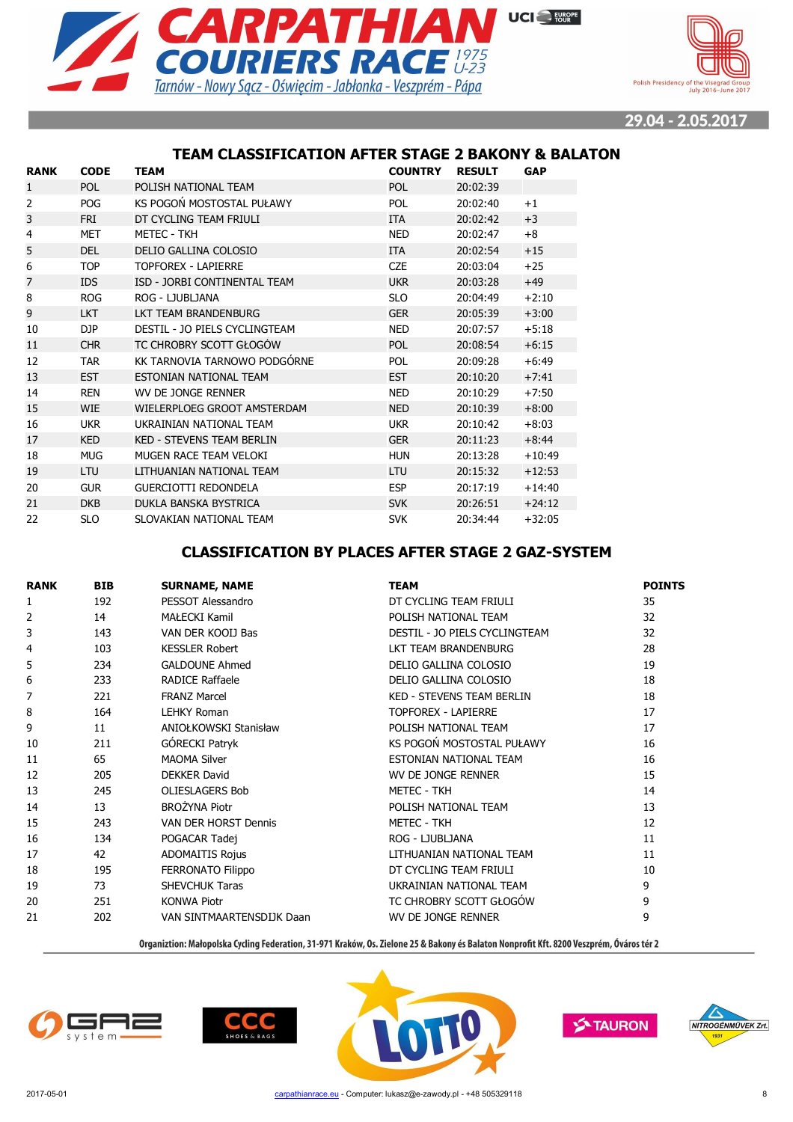



#### **TEAM CLASSIFICATION AFTER STAGE 2 BAKONY & BALATON**

| <b>RANK</b>    | <b>CODE</b> | TEAM                             | <b>COUNTRY</b> | <b>RESULT</b> | <b>GAP</b> |
|----------------|-------------|----------------------------------|----------------|---------------|------------|
| $\mathbf{1}$   | <b>POL</b>  | POLISH NATIONAL TEAM             | <b>POL</b>     | 20:02:39      |            |
| 2              | <b>POG</b>  | KS POGOŃ MOSTOSTAL PUŁAWY        | <b>POL</b>     | 20:02:40      | $+1$       |
| 3              | <b>FRI</b>  | DT CYCLING TEAM FRIULI           | <b>ITA</b>     | 20:02:42      | $+3$       |
| 4              | <b>MET</b>  | <b>METEC - TKH</b>               | <b>NED</b>     | 20:02:47      | $+8$       |
| 5              | <b>DEL</b>  | DELIO GALLINA COLOSIO            | <b>ITA</b>     | 20:02:54      | $+15$      |
| 6              | <b>TOP</b>  | TOPFOREX - LAPIERRE              | <b>CZE</b>     | 20:03:04      | $+25$      |
| $\overline{7}$ | <b>IDS</b>  | ISD - JORBI CONTINENTAL TEAM     | <b>UKR</b>     | 20:03:28      | $+49$      |
| 8              | <b>ROG</b>  | ROG - LJUBLJANA                  | <b>SLO</b>     | 20:04:49      | $+2:10$    |
| 9              | <b>LKT</b>  | LKT TEAM BRANDENBURG             | <b>GER</b>     | 20:05:39      | $+3:00$    |
| 10             | DJP         | DESTIL - JO PIELS CYCLINGTEAM    | <b>NED</b>     | 20:07:57      | $+5:18$    |
| 11             | <b>CHR</b>  | TC CHROBRY SCOTT GŁOGÓW          | <b>POL</b>     | 20:08:54      | $+6:15$    |
| 12             | <b>TAR</b>  | KK TARNOVIA TARNOWO PODGÓRNE     | <b>POL</b>     | 20:09:28      | $+6:49$    |
| 13             | <b>EST</b>  | ESTONIAN NATIONAL TEAM           | <b>EST</b>     | 20:10:20      | $+7:41$    |
| 14             | <b>REN</b>  | WV DE JONGE RENNER               | <b>NED</b>     | 20:10:29      | $+7:50$    |
| 15             | <b>WIE</b>  | WIELERPLOEG GROOT AMSTERDAM      | <b>NED</b>     | 20:10:39      | $+8:00$    |
| 16             | <b>UKR</b>  | UKRAINIAN NATIONAL TEAM          | <b>UKR</b>     | 20:10:42      | $+8:03$    |
| 17             | <b>KED</b>  | <b>KED - STEVENS TEAM BERLIN</b> | <b>GER</b>     | 20:11:23      | $+8:44$    |
| 18             | <b>MUG</b>  | MUGEN RACE TEAM VELOKI           | <b>HUN</b>     | 20:13:28      | $+10:49$   |
| 19             | LTU         | LITHUANIAN NATIONAL TEAM         | <b>LTU</b>     | 20:15:32      | $+12:53$   |
| 20             | <b>GUR</b>  | <b>GUERCIOTTI REDONDELA</b>      | <b>ESP</b>     | 20:17:19      | $+14:40$   |
| 21             | <b>DKB</b>  | DUKLA BANSKA BYSTRICA            | <b>SVK</b>     | 20:26:51      | $+24:12$   |
| 22             | SLO         | SLOVAKIAN NATIONAL TEAM          | <b>SVK</b>     | 20:34:44      | $+32:05$   |

#### **CLASSIFICATION BY PLACES AFTER STAGE 2 GAZ-SYSTEM**

| <b>RANK</b>    | <b>BIB</b> | <b>SURNAME, NAME</b>      | <b>TEAM</b>                      | <b>POINTS</b> |
|----------------|------------|---------------------------|----------------------------------|---------------|
| 1              | 192        | PESSOT Alessandro         | DT CYCLING TEAM FRIULI           | 35            |
| $\overline{2}$ | 14         | MAŁECKI Kamil             | POLISH NATIONAL TEAM             | 32            |
| 3              | 143        | VAN DER KOOIJ Bas         | DESTIL - JO PIELS CYCLINGTEAM    | 32            |
| 4              | 103        | <b>KESSLER Robert</b>     | LKT TEAM BRANDENBURG             | 28            |
| 5              | 234        | <b>GALDOUNE Ahmed</b>     | DELIO GALLINA COLOSIO            | 19            |
| 6              | 233        | <b>RADICE Raffaele</b>    | DELIO GALLINA COLOSIO            | 18            |
| 7              | 221        | <b>FRANZ Marcel</b>       | <b>KED - STEVENS TEAM BERLIN</b> | 18            |
| 8              | 164        | <b>LEHKY Roman</b>        | <b>TOPFOREX - LAPIERRE</b>       | 17            |
| 9              | 11         | ANIOŁKOWSKI Stanisław     | POLISH NATIONAL TEAM             | 17            |
| 10             | 211        | GÓRECKI Patryk            | KS POGOŃ MOSTOSTAL PUŁAWY        | 16            |
| 11             | 65         | <b>MAOMA Silver</b>       | ESTONIAN NATIONAL TEAM           | 16            |
| 12             | 205        | <b>DEKKER David</b>       | WV DE JONGE RENNER               | 15            |
| 13             | 245        | <b>OLIESLAGERS Bob</b>    | <b>METEC - TKH</b>               | 14            |
| 14             | 13         | <b>BROŻYNA Piotr</b>      | POLISH NATIONAL TEAM             | 13            |
| 15             | 243        | VAN DER HORST Dennis      | <b>METEC - TKH</b>               | 12            |
| 16             | 134        | POGACAR Tadej             | ROG - LJUBLJANA                  | 11            |
| 17             | 42         | <b>ADOMAITIS Rojus</b>    | LITHUANIAN NATIONAL TEAM         | 11            |
| 18             | 195        | <b>FERRONATO Filippo</b>  | DT CYCLING TEAM FRIULI           | 10            |
| 19             | 73         | <b>SHEVCHUK Taras</b>     | UKRAINIAN NATIONAL TEAM          | 9             |
| 20             | 251        | <b>KONWA Piotr</b>        | TC CHROBRY SCOTT GŁOGÓW          | 9             |
| 21             | 202        | VAN SINTMAARTENSDIJK Daan | WV DE JONGE RENNER               | 9             |







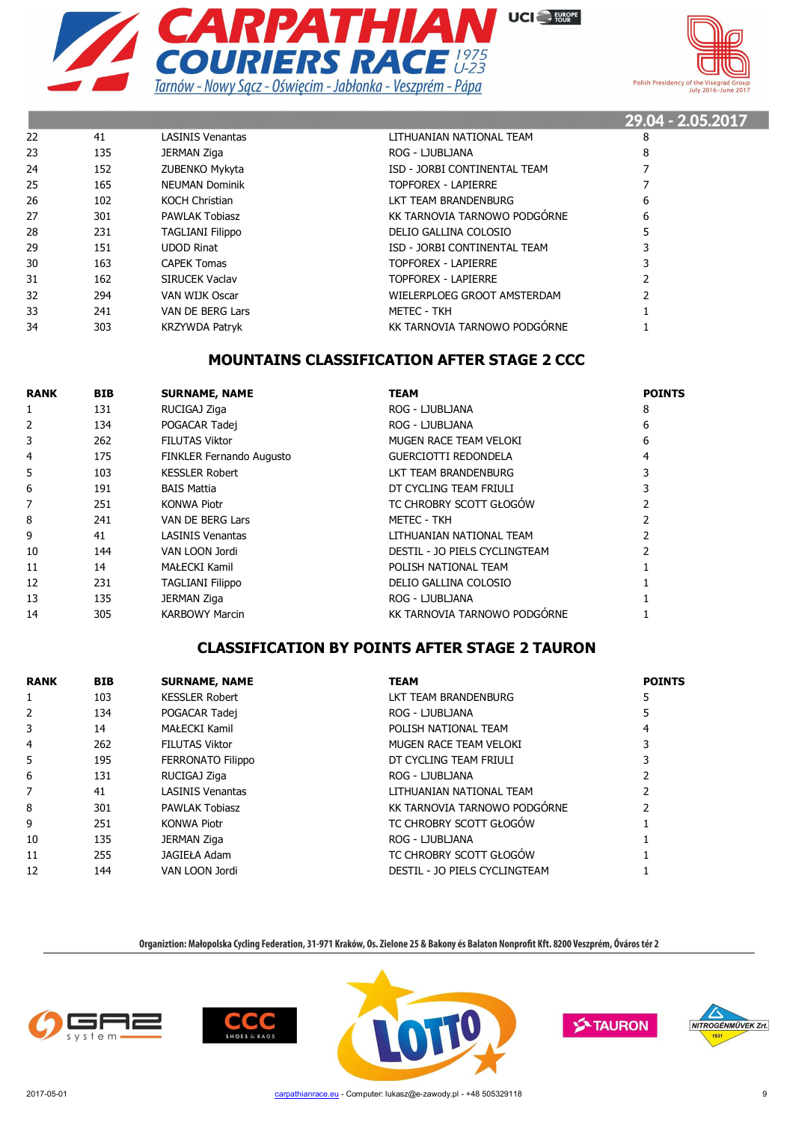



|    |     |                         |                              | 29.04 - 2.05.2017 |
|----|-----|-------------------------|------------------------------|-------------------|
| 22 | 41  | <b>LASINIS Venantas</b> | LITHUANIAN NATIONAL TEAM     | 8                 |
| 23 | 135 | JERMAN Ziga             | ROG - LJUBLJANA              | 8                 |
| 24 | 152 | ZUBENKO Mykyta          | ISD - JORBI CONTINENTAL TEAM |                   |
| 25 | 165 | <b>NEUMAN Dominik</b>   | TOPFOREX - LAPIERRE          |                   |
| 26 | 102 | <b>KOCH Christian</b>   | LKT TEAM BRANDENBURG         | 6                 |
| 27 | 301 | <b>PAWLAK Tobiasz</b>   | KK TARNOVIA TARNOWO PODGÓRNE | 6                 |
| 28 | 231 | <b>TAGLIANI Filippo</b> | DELIO GALLINA COLOSIO        |                   |
| 29 | 151 | <b>UDOD Rinat</b>       | ISD - JORBI CONTINENTAL TEAM |                   |
| 30 | 163 | <b>CAPEK Tomas</b>      | <b>TOPFOREX - LAPIERRE</b>   |                   |
| 31 | 162 | <b>SIRUCEK Vaclav</b>   | TOPFOREX - LAPIERRE          |                   |
| 32 | 294 | VAN WIJK Oscar          | WIELERPLOEG GROOT AMSTERDAM  |                   |
| 33 | 241 | VAN DE BERG Lars        | METEC - TKH                  |                   |
| 34 | 303 | <b>KRZYWDA Patryk</b>   | KK TARNOVIA TARNOWO PODGÓRNE |                   |
|    |     |                         |                              |                   |

#### **MOUNTAINS CLASSIFICATION AFTER STAGE 2 CCC**

| <b>RANK</b> | <b>BIB</b> | <b>SURNAME, NAME</b>            | <b>TEAM</b>                   | <b>POINTS</b> |
|-------------|------------|---------------------------------|-------------------------------|---------------|
| 1           | 131        | RUCIGAJ Ziga                    | ROG - LJUBLJANA               | 8             |
| 2           | 134        | POGACAR Tadej                   | ROG - LJUBLJANA               | 6             |
| 3           | 262        | <b>FILUTAS Viktor</b>           | MUGEN RACE TEAM VELOKI        | 6             |
| 4           | 175        | <b>FINKLER Fernando Augusto</b> | <b>GUERCIOTTI REDONDELA</b>   |               |
| 5           | 103        | <b>KESSLER Robert</b>           | LKT TEAM BRANDENBURG          |               |
| 6           | 191        | <b>BAIS Mattia</b>              | DT CYCLING TEAM FRIULI        |               |
| 7           | 251        | <b>KONWA Piotr</b>              | TC CHROBRY SCOTT GŁOGÓW       |               |
| 8           | 241        | VAN DE BERG Lars                | METEC - TKH                   |               |
| 9           | 41         | <b>LASINIS Venantas</b>         | LITHUANIAN NATIONAL TEAM      |               |
| 10          | 144        | VAN LOON Jordi                  | DESTIL - JO PIELS CYCLINGTEAM |               |
| 11          | 14         | MAŁECKI Kamil                   | POLISH NATIONAL TEAM          |               |
| 12          | 231        | <b>TAGLIANI Filippo</b>         | DELIO GALLINA COLOSIO         |               |
| 13          | 135        | JERMAN Ziga                     | ROG - LJUBLJANA               |               |
| 14          | 305        | <b>KARBOWY Marcin</b>           | KK TARNOVIA TARNOWO PODGÓRNE  |               |

#### **CLASSIFICATION BY POINTS AFTER STAGE 2 TAURON**

| <b>RANK</b> | <b>BIB</b> | <b>SURNAME, NAME</b>     | <b>TEAM</b>                   | <b>POINTS</b> |
|-------------|------------|--------------------------|-------------------------------|---------------|
| 1           | 103        | <b>KESSLER Robert</b>    | LKT TEAM BRANDENBURG          |               |
| 2           | 134        | POGACAR Tadej            | ROG - LJUBLJANA               |               |
| 3           | 14         | MAŁECKI Kamil            | POLISH NATIONAL TEAM          |               |
| 4           | 262        | <b>FILUTAS Viktor</b>    | MUGEN RACE TEAM VELOKI        |               |
| 5           | 195        | <b>FERRONATO Filippo</b> | DT CYCLING TEAM FRIULI        |               |
| 6           | 131        | RUCIGAJ Ziga             | ROG - LJUBLJANA               |               |
| 7           | 41         | <b>LASINIS Venantas</b>  | LITHUANIAN NATIONAL TEAM      |               |
| 8           | 301        | <b>PAWLAK Tobiasz</b>    | KK TARNOVIA TARNOWO PODGÓRNE  |               |
| 9           | 251        | <b>KONWA Piotr</b>       | TC CHROBRY SCOTT GŁOGÓW       |               |
| 10          | 135        | <b>JERMAN Ziga</b>       | ROG - LJUBLJANA               |               |
| 11          | 255        | JAGIEŁA Adam             | TC CHROBRY SCOTT GŁOGÓW       |               |
| 12          | 144        | VAN LOON Jordi           | DESTIL - JO PIELS CYCLINGTEAM |               |







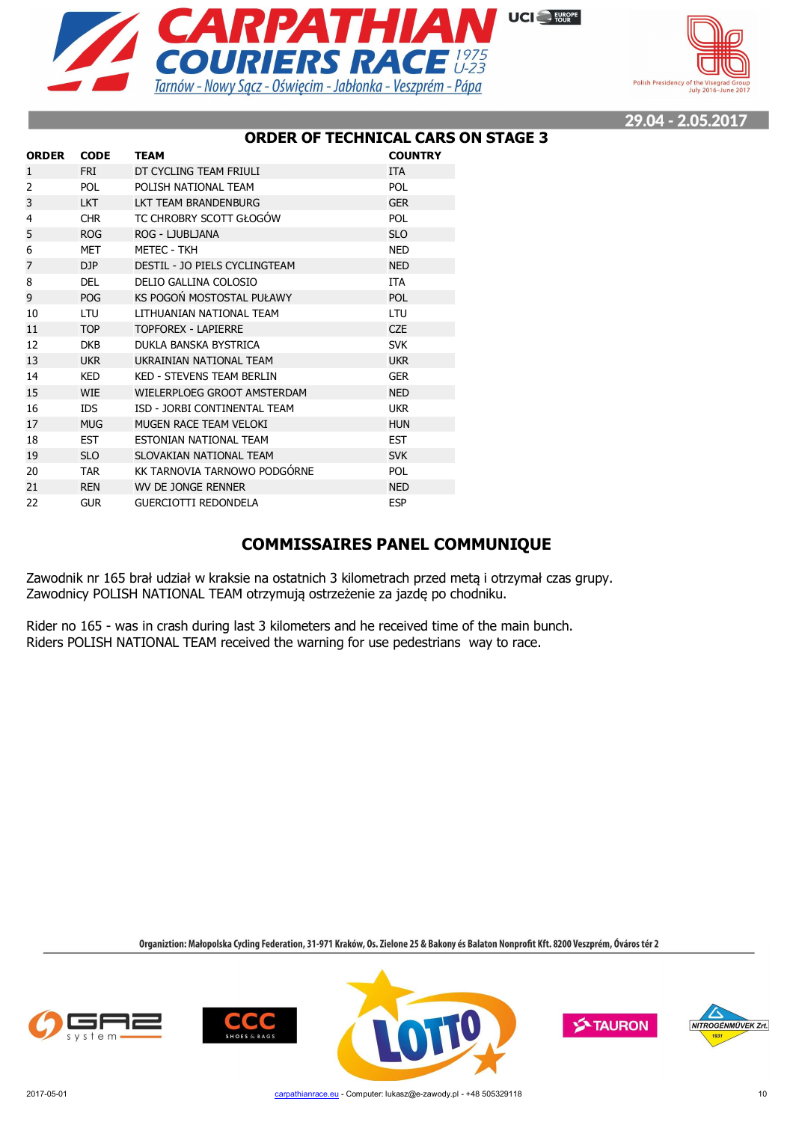



#### **ORDER OF TECHNICAL CARS ON STAGE 3**

| <b>ORDER</b>   | <b>CODE</b> | <b>TEAM</b>                      | <b>COUNTRY</b> |
|----------------|-------------|----------------------------------|----------------|
| 1              | <b>FRI</b>  | DT CYCLING TEAM FRIULI           | <b>ITA</b>     |
| $\overline{2}$ | <b>POL</b>  | POLISH NATIONAL TEAM             | <b>POL</b>     |
| 3              | <b>LKT</b>  | LKT TEAM BRANDENBURG             | <b>GER</b>     |
| 4              | <b>CHR</b>  | TC CHROBRY SCOTT GŁOGÓW          | <b>POL</b>     |
| 5              | <b>ROG</b>  | ROG - LJUBLJANA                  | <b>SLO</b>     |
| 6              | <b>MET</b>  | METEC - TKH                      | <b>NED</b>     |
| $\overline{7}$ | DJP         | DESTIL - JO PIELS CYCLINGTEAM    | <b>NED</b>     |
| 8              | <b>DEL</b>  | DELIO GALLINA COLOSIO            | <b>ITA</b>     |
| 9              | <b>POG</b>  | KS POGOŃ MOSTOSTAL PUŁAWY        | POL            |
| 10             | LTU         | LITHUANIAN NATIONAL TEAM         | LTU            |
| 11             | <b>TOP</b>  | <b>TOPFOREX - LAPIERRE</b>       | <b>CZE</b>     |
| 12             | <b>DKB</b>  | DUKLA BANSKA BYSTRICA            | <b>SVK</b>     |
| 13             | <b>UKR</b>  | UKRAINIAN NATIONAL TEAM          | <b>UKR</b>     |
| 14             | <b>KED</b>  | <b>KED - STEVENS TEAM BERLIN</b> | <b>GER</b>     |
| 15             | <b>WIE</b>  | WIELERPLOEG GROOT AMSTERDAM      | <b>NED</b>     |
| 16             | IDS.        | ISD - JORBI CONTINENTAL TEAM     | <b>UKR</b>     |
| 17             | <b>MUG</b>  | MUGEN RACE TEAM VELOKI           | <b>HUN</b>     |
| 18             | <b>EST</b>  | ESTONIAN NATIONAL TEAM           | <b>EST</b>     |
| 19             | <b>SLO</b>  | SLOVAKIAN NATIONAL TEAM          | <b>SVK</b>     |
| 20             | <b>TAR</b>  | KK TARNOVIA TARNOWO PODGÓRNE     | <b>POL</b>     |
| 21             | <b>REN</b>  | WV DE JONGE RENNER               | <b>NED</b>     |
| 22             | <b>GUR</b>  | <b>GUERCIOTTI REDONDELA</b>      | <b>ESP</b>     |

#### **COMMISSAIRES PANEL COMMUNIQUE**

Zawodnik nr 165 brał udział w kraksie na ostatnich 3 kilometrach przed metą i otrzymał czas grupy. Zawodnicy POLISH NATIONAL TEAM otrzymują ostrzeżenie za jazdę po chodniku.

Rider no 165 - was in crash during last 3 kilometers and he received time of the main bunch. Riders POLISH NATIONAL TEAM received the warning for use pedestrians way to race.







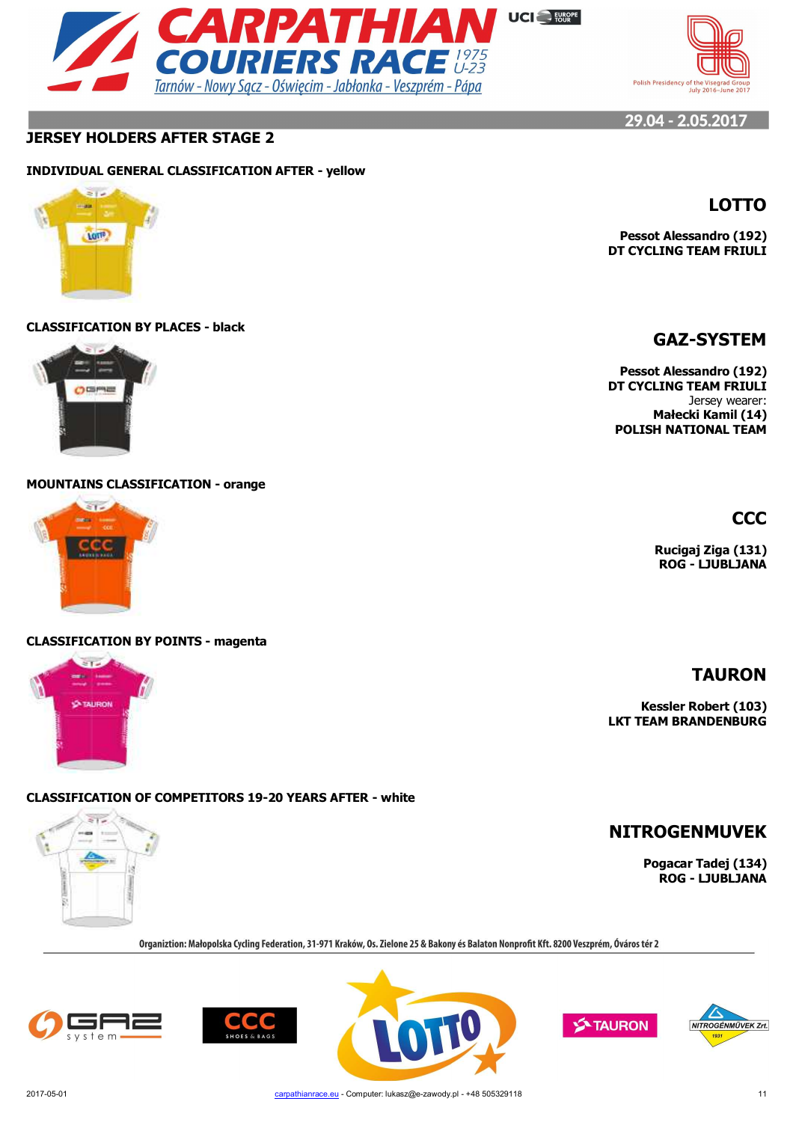



## **JERSEY HOLDERS AFTER STAGE 2**

#### **INDIVIDUAL GENERAL CLASSIFICATION AFTER - yellow**



#### **CLASSIFICATION BY PLACES - black**



#### **MOUNTAINS CLASSIFICATION - orange**



#### **CLASSIFICATION BY POINTS - magenta**



#### **CLASSIFICATION OF COMPETITORS 19-20 YEARS AFTER - white**



Organiztion: Małopolska Cycling Federation, 31-971 Kraków, Os. Zielone 25 & Bakony és Balaton Nonprofit Kft. 8200 Veszprém, Óváros tér 2











**CCC**

Jersey wearer: **Małecki Kamil (14) POLISH NATIONAL TEAM**

> **Rucigaj Ziga (131) ROG - LJUBLJANA**

## **TAURON**

**Kessler Robert (103) LKT TEAM BRANDENBURG**

**NITROGENMUVEK**

**Pogacar Tadej (134) ROG - LJUBLJANA**

# **LOTTO**

**Pessot Alessandro (192) DT CYCLING TEAM FRIULI**

# **GAZ-SYSTEM**

**Pessot Alessandro (192) DT CYCLING TEAM FRIULI**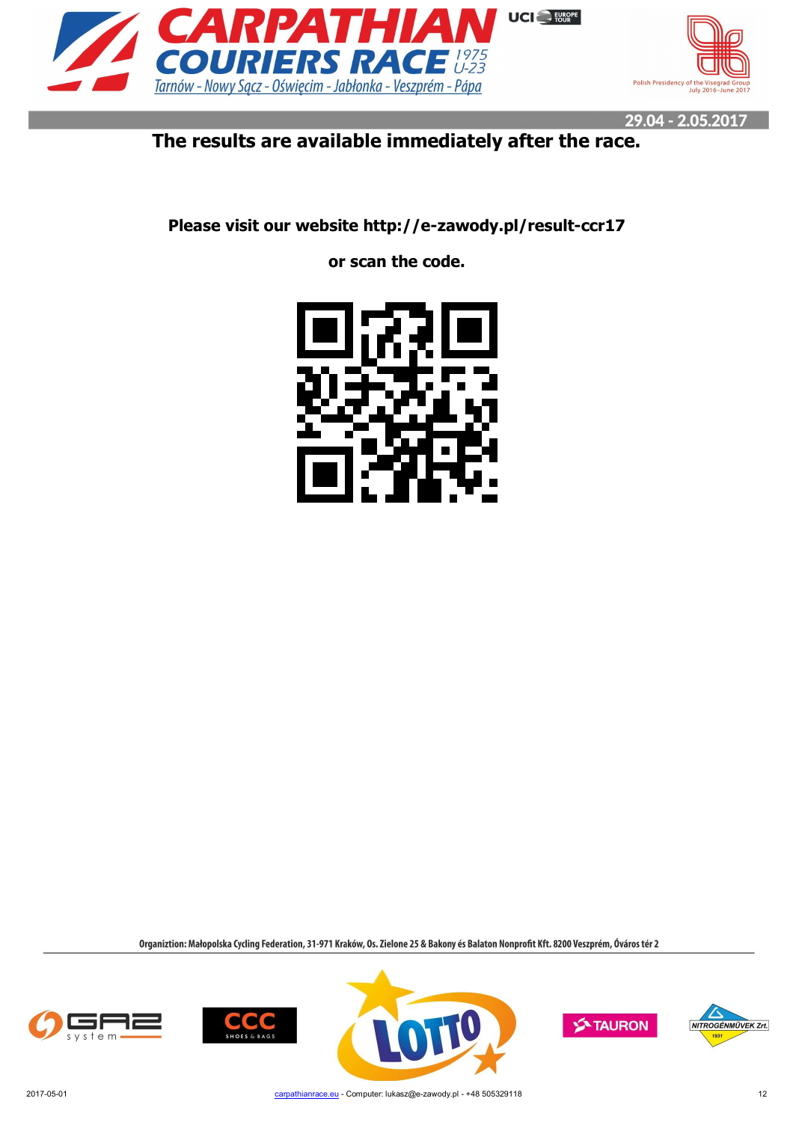



# **The results are available immediately after the race.**

**Please visit our website http://e-zawody.pl/result-ccr17**

**or scan the code.**